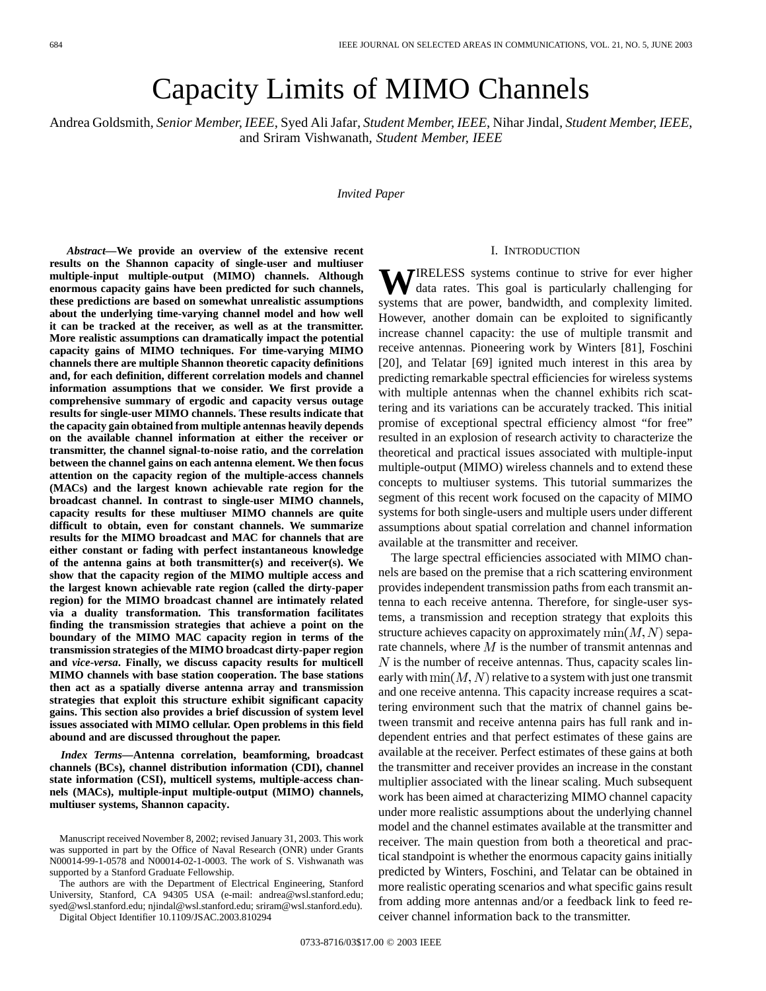# Capacity Limits of MIMO Channels

Andrea Goldsmith*, Senior Member, IEEE*, Syed Ali Jafar*, Student Member, IEEE*, Nihar Jindal*, Student Member, IEEE*, and Sriram Vishwanath*, Student Member, IEEE*

## *Invited Paper*

*Abstract—***We provide an overview of the extensive recent results on the Shannon capacity of single-user and multiuser multiple-input multiple-output (MIMO) channels. Although enormous capacity gains have been predicted for such channels, these predictions are based on somewhat unrealistic assumptions about the underlying time-varying channel model and how well it can be tracked at the receiver, as well as at the transmitter. More realistic assumptions can dramatically impact the potential capacity gains of MIMO techniques. For time-varying MIMO channels there are multiple Shannon theoretic capacity definitions and, for each definition, different correlation models and channel information assumptions that we consider. We first provide a comprehensive summary of ergodic and capacity versus outage results for single-user MIMO channels. These results indicate that the capacity gain obtained from multiple antennas heavily depends on the available channel information at either the receiver or transmitter, the channel signal-to-noise ratio, and the correlation between the channel gains on each antenna element. We then focus attention on the capacity region of the multiple-access channels (MACs) and the largest known achievable rate region for the broadcast channel. In contrast to single-user MIMO channels, capacity results for these multiuser MIMO channels are quite difficult to obtain, even for constant channels. We summarize results for the MIMO broadcast and MAC for channels that are either constant or fading with perfect instantaneous knowledge of the antenna gains at both transmitter(s) and receiver(s). We show that the capacity region of the MIMO multiple access and the largest known achievable rate region (called the dirty-paper region) for the MIMO broadcast channel are intimately related via a duality transformation. This transformation facilitates finding the transmission strategies that achieve a point on the boundary of the MIMO MAC capacity region in terms of the transmission strategies of the MIMO broadcast dirty-paper region and** *vice-versa***. Finally, we discuss capacity results for multicell MIMO channels with base station cooperation. The base stations then act as a spatially diverse antenna array and transmission strategies that exploit this structure exhibit significant capacity gains. This section also provides a brief discussion of system level issues associated with MIMO cellular. Open problems in this field abound and are discussed throughout the paper.**

*Index Terms—***Antenna correlation, beamforming, broadcast channels (BCs), channel distribution information (CDI), channel state information (CSI), multicell systems, multiple-access channels (MACs), multiple-input multiple-output (MIMO) channels, multiuser systems, Shannon capacity.**

The authors are with the Department of Electrical Engineering, Stanford University, Stanford, CA 94305 USA (e-mail: andrea@wsl.stanford.edu; syed@wsl.stanford.edu; njindal@wsl.stanford.edu; sriram@wsl.stanford.edu).

Digital Object Identifier 10.1109/JSAC.2003.810294

## I. INTRODUCTION

**WIRELESS** systems continue to strive for ever higher data rates. This goal is particularly challenging for systems that are power, bandwidth, and complexity limited. However, another domain can be exploited to significantly increase channel capacity: the use of multiple transmit and receive antennas. Pioneering work by Winters [81], Foschini [20], and Telatar [69] ignited much interest in this area by predicting remarkable spectral efficiencies for wireless systems with multiple antennas when the channel exhibits rich scattering and its variations can be accurately tracked. This initial promise of exceptional spectral efficiency almost "for free" resulted in an explosion of research activity to characterize the theoretical and practical issues associated with multiple-input multiple-output (MIMO) wireless channels and to extend these concepts to multiuser systems. This tutorial summarizes the segment of this recent work focused on the capacity of MIMO systems for both single-users and multiple users under different assumptions about spatial correlation and channel information available at the transmitter and receiver.

The large spectral efficiencies associated with MIMO channels are based on the premise that a rich scattering environment provides independent transmission paths from each transmit antenna to each receive antenna. Therefore, for single-user systems, a transmission and reception strategy that exploits this structure achieves capacity on approximately  $min(M, N)$  separate channels, where  $M$  is the number of transmit antennas and  $\dot{N}$  is the number of receive antennas. Thus, capacity scales linearly with  $\min(M, N)$  relative to a system with just one transmit and one receive antenna. This capacity increase requires a scattering environment such that the matrix of channel gains between transmit and receive antenna pairs has full rank and independent entries and that perfect estimates of these gains are available at the receiver. Perfect estimates of these gains at both the transmitter and receiver provides an increase in the constant multiplier associated with the linear scaling. Much subsequent work has been aimed at characterizing MIMO channel capacity under more realistic assumptions about the underlying channel model and the channel estimates available at the transmitter and receiver. The main question from both a theoretical and practical standpoint is whether the enormous capacity gains initially predicted by Winters, Foschini, and Telatar can be obtained in more realistic operating scenarios and what specific gains result from adding more antennas and/or a feedback link to feed receiver channel information back to the transmitter.

Manuscript received November 8, 2002; revised January 31, 2003. This work was supported in part by the Office of Naval Research (ONR) under Grants N00014-99-1-0578 and N00014-02-1-0003. The work of S. Vishwanath was supported by a Stanford Graduate Fellowship.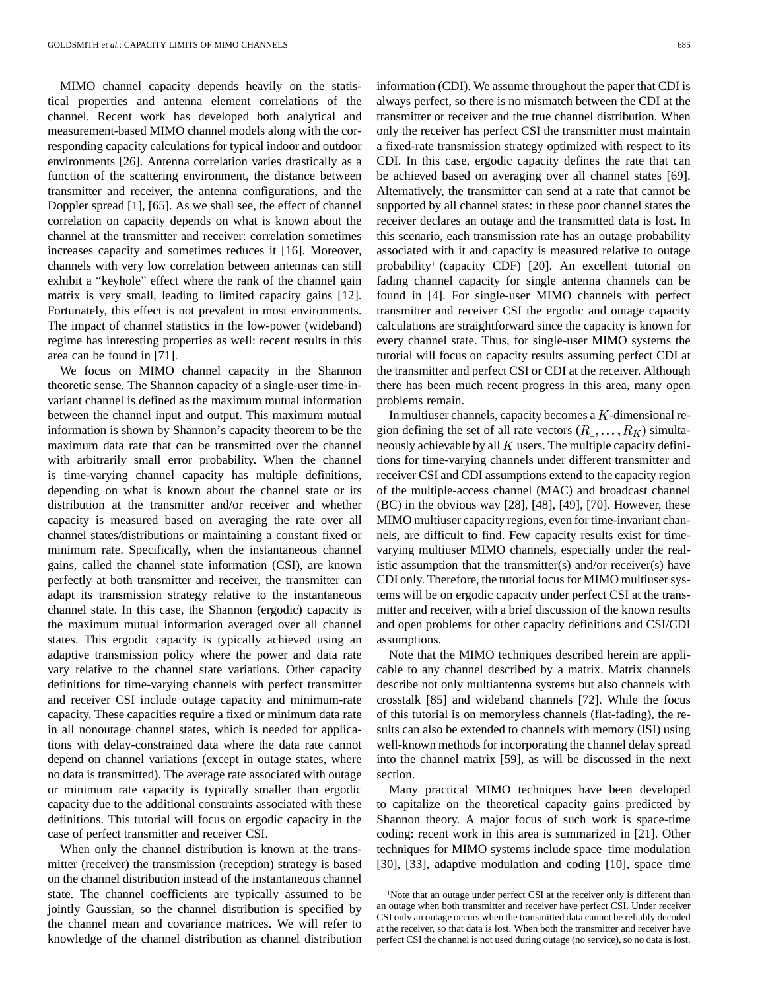MIMO channel capacity depends heavily on the statistical properties and antenna element correlations of the channel. Recent work has developed both analytical and measurement-based MIMO channel models along with the corresponding capacity calculations for typical indoor and outdoor environments [26]. Antenna correlation varies drastically as a function of the scattering environment, the distance between transmitter and receiver, the antenna configurations, and the Doppler spread [1], [65]. As we shall see, the effect of channel correlation on capacity depends on what is known about the channel at the transmitter and receiver: correlation sometimes increases capacity and sometimes reduces it [16]. Moreover, channels with very low correlation between antennas can still exhibit a "keyhole" effect where the rank of the channel gain matrix is very small, leading to limited capacity gains [12]. Fortunately, this effect is not prevalent in most environments. The impact of channel statistics in the low-power (wideband) regime has interesting properties as well: recent results in this area can be found in [71].

We focus on MIMO channel capacity in the Shannon theoretic sense. The Shannon capacity of a single-user time-invariant channel is defined as the maximum mutual information between the channel input and output. This maximum mutual information is shown by Shannon's capacity theorem to be the maximum data rate that can be transmitted over the channel with arbitrarily small error probability. When the channel is time-varying channel capacity has multiple definitions, depending on what is known about the channel state or its distribution at the transmitter and/or receiver and whether capacity is measured based on averaging the rate over all channel states/distributions or maintaining a constant fixed or minimum rate. Specifically, when the instantaneous channel gains, called the channel state information (CSI), are known perfectly at both transmitter and receiver, the transmitter can adapt its transmission strategy relative to the instantaneous channel state. In this case, the Shannon (ergodic) capacity is the maximum mutual information averaged over all channel states. This ergodic capacity is typically achieved using an adaptive transmission policy where the power and data rate vary relative to the channel state variations. Other capacity definitions for time-varying channels with perfect transmitter and receiver CSI include outage capacity and minimum-rate capacity. These capacities require a fixed or minimum data rate in all nonoutage channel states, which is needed for applications with delay-constrained data where the data rate cannot depend on channel variations (except in outage states, where no data is transmitted). The average rate associated with outage or minimum rate capacity is typically smaller than ergodic capacity due to the additional constraints associated with these definitions. This tutorial will focus on ergodic capacity in the case of perfect transmitter and receiver CSI.

When only the channel distribution is known at the transmitter (receiver) the transmission (reception) strategy is based on the channel distribution instead of the instantaneous channel state. The channel coefficients are typically assumed to be jointly Gaussian, so the channel distribution is specified by the channel mean and covariance matrices. We will refer to knowledge of the channel distribution as channel distribution information (CDI). We assume throughout the paper that CDI is always perfect, so there is no mismatch between the CDI at the transmitter or receiver and the true channel distribution. When only the receiver has perfect CSI the transmitter must maintain a fixed-rate transmission strategy optimized with respect to its CDI. In this case, ergodic capacity defines the rate that can be achieved based on averaging over all channel states [69]. Alternatively, the transmitter can send at a rate that cannot be supported by all channel states: in these poor channel states the receiver declares an outage and the transmitted data is lost. In this scenario, each transmission rate has an outage probability associated with it and capacity is measured relative to outage probability<sup>1</sup> (capacity CDF) [20]. An excellent tutorial on fading channel capacity for single antenna channels can be found in [4]. For single-user MIMO channels with perfect transmitter and receiver CSI the ergodic and outage capacity calculations are straightforward since the capacity is known for every channel state. Thus, for single-user MIMO systems the tutorial will focus on capacity results assuming perfect CDI at the transmitter and perfect CSI or CDI at the receiver. Although there has been much recent progress in this area, many open problems remain.

In multiuser channels, capacity becomes a  $K$ -dimensional region defining the set of all rate vectors  $(R_1, \ldots, R_K)$  simultaneously achievable by all  $K$  users. The multiple capacity definitions for time-varying channels under different transmitter and receiver CSI and CDI assumptions extend to the capacity region of the multiple-access channel (MAC) and broadcast channel (BC) in the obvious way [28], [48], [49], [70]. However, these MIMO multiuser capacity regions, even for time-invariant channels, are difficult to find. Few capacity results exist for timevarying multiuser MIMO channels, especially under the realistic assumption that the transmitter(s) and/or receiver(s) have CDI only. Therefore, the tutorial focus for MIMO multiuser systems will be on ergodic capacity under perfect CSI at the transmitter and receiver, with a brief discussion of the known results and open problems for other capacity definitions and CSI/CDI assumptions.

Note that the MIMO techniques described herein are applicable to any channel described by a matrix. Matrix channels describe not only multiantenna systems but also channels with crosstalk [85] and wideband channels [72]. While the focus of this tutorial is on memoryless channels (flat-fading), the results can also be extended to channels with memory (ISI) using well-known methods for incorporating the channel delay spread into the channel matrix [59], as will be discussed in the next section.

Many practical MIMO techniques have been developed to capitalize on the theoretical capacity gains predicted by Shannon theory. A major focus of such work is space-time coding: recent work in this area is summarized in [21]. Other techniques for MIMO systems include space–time modulation [30], [33], adaptive modulation and coding [10], space–time

<sup>&</sup>lt;sup>1</sup>Note that an outage under perfect CSI at the receiver only is different than an outage when both transmitter and receiver have perfect CSI. Under receiver CSI only an outage occurs when the transmitted data cannot be reliably decoded at the receiver, so that data is lost. When both the transmitter and receiver have perfect CSI the channel is not used during outage (no service), so no data is lost.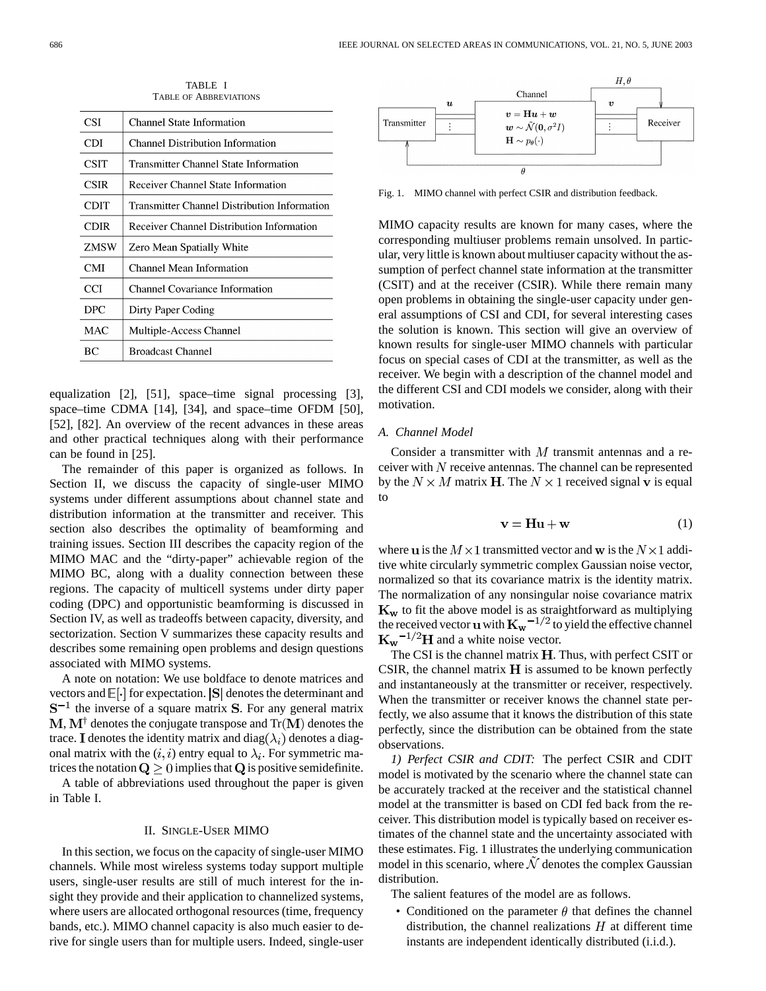| TABLE I                       |
|-------------------------------|
| <b>TABLE OF ABBREVIATIONS</b> |

| CSI        | <b>Channel State Information</b>             |
|------------|----------------------------------------------|
| CDI        | <b>Channel Distribution Information</b>      |
| CSIT       | Transmitter Channel State Information        |
| CSIR       | Receiver Channel State Information           |
| CDIT       | Transmitter Channel Distribution Information |
| CDIR.      | Receiver Channel Distribution Information    |
| ZMSW       | Zero Mean Spatially White                    |
| CMI        | Channel Mean Information                     |
| CCI        | Channel Covariance Information               |
| <b>DPC</b> | Dirty Paper Coding                           |
| MAC.       | Multiple-Access Channel                      |
| ВC         | <b>Broadcast Channel</b>                     |

equalization [2], [51], space–time signal processing [3], space–time CDMA [14], [34], and space–time OFDM [50], [52], [82]. An overview of the recent advances in these areas and other practical techniques along with their performance can be found in [25].

The remainder of this paper is organized as follows. In Section II, we discuss the capacity of single-user MIMO systems under different assumptions about channel state and distribution information at the transmitter and receiver. This section also describes the optimality of beamforming and training issues. Section III describes the capacity region of the MIMO MAC and the "dirty-paper" achievable region of the MIMO BC, along with a duality connection between these regions. The capacity of multicell systems under dirty paper coding (DPC) and opportunistic beamforming is discussed in Section IV, as well as tradeoffs between capacity, diversity, and sectorization. Section V summarizes these capacity results and describes some remaining open problems and design questions associated with MIMO systems.

A note on notation: We use boldface to denote matrices and vectors and  $\mathbb{E}[\cdot]$  for expectation.  $|\mathbf{S}|$  denotes the determinant and  $S^{-1}$  the inverse of a square matrix S. For any general matrix  $M$ ,  $M^{\dagger}$  denotes the conjugate transpose and Tr $(M)$  denotes the trace. I denotes the identity matrix and diag( $\lambda_i$ ) denotes a diagonal matrix with the  $(i, i)$  entry equal to  $\lambda_i$ . For symmetric matrices the notation  $\mathbf{Q} \geq 0$  implies that  $\mathbf{Q}$  is positive semidefinite.

A table of abbreviations used throughout the paper is given in Table I.

### II. SINGLE-USER MIMO

In this section, we focus on the capacity of single-user MIMO channels. While most wireless systems today support multiple users, single-user results are still of much interest for the insight they provide and their application to channelized systems, where users are allocated orthogonal resources (time, frequency bands, etc.). MIMO channel capacity is also much easier to derive for single users than for multiple users. Indeed, single-user



Fig. 1. MIMO channel with perfect CSIR and distribution feedback.

MIMO capacity results are known for many cases, where the corresponding multiuser problems remain unsolved. In particular, very little is known about multiuser capacity without the assumption of perfect channel state information at the transmitter (CSIT) and at the receiver (CSIR). While there remain many open problems in obtaining the single-user capacity under general assumptions of CSI and CDI, for several interesting cases the solution is known. This section will give an overview of known results for single-user MIMO channels with particular focus on special cases of CDI at the transmitter, as well as the receiver. We begin with a description of the channel model and the different CSI and CDI models we consider, along with their motivation.

# *A. Channel Model*

Consider a transmitter with  $M$  transmit antennas and a receiver with  $N$  receive antennas. The channel can be represented by the  $N \times M$  matrix **H**. The  $N \times 1$  received signal v is equal to

$$
\mathbf{v} = \mathbf{H}\mathbf{u} + \mathbf{w} \tag{1}
$$

where **u** is the  $M \times 1$  transmitted vector and **w** is the  $N \times 1$  additive white circularly symmetric complex Gaussian noise vector, normalized so that its covariance matrix is the identity matrix. The normalization of any nonsingular noise covariance matrix  $K_w$  to fit the above model is as straightforward as multiplying the received vector **u** with  $K_w$ <sup>-1/2</sup> to yield the effective channel  $K_w$ <sup>-1/2</sup>H and a white noise vector.

The CSI is the channel matrix  $H$ . Thus, with perfect CSIT or CSIR, the channel matrix  $\bf{H}$  is assumed to be known perfectly and instantaneously at the transmitter or receiver, respectively. When the transmitter or receiver knows the channel state perfectly, we also assume that it knows the distribution of this state perfectly, since the distribution can be obtained from the state observations.

*1) Perfect CSIR and CDIT:* The perfect CSIR and CDIT model is motivated by the scenario where the channel state can be accurately tracked at the receiver and the statistical channel model at the transmitter is based on CDI fed back from the receiver. This distribution model is typically based on receiver estimates of the channel state and the uncertainty associated with these estimates. Fig. 1 illustrates the underlying communication model in this scenario, where  $\tilde{\mathcal{N}}$  denotes the complex Gaussian distribution.

The salient features of the model are as follows.

• Conditioned on the parameter  $\theta$  that defines the channel distribution, the channel realizations  $H$  at different time instants are independent identically distributed (i.i.d.).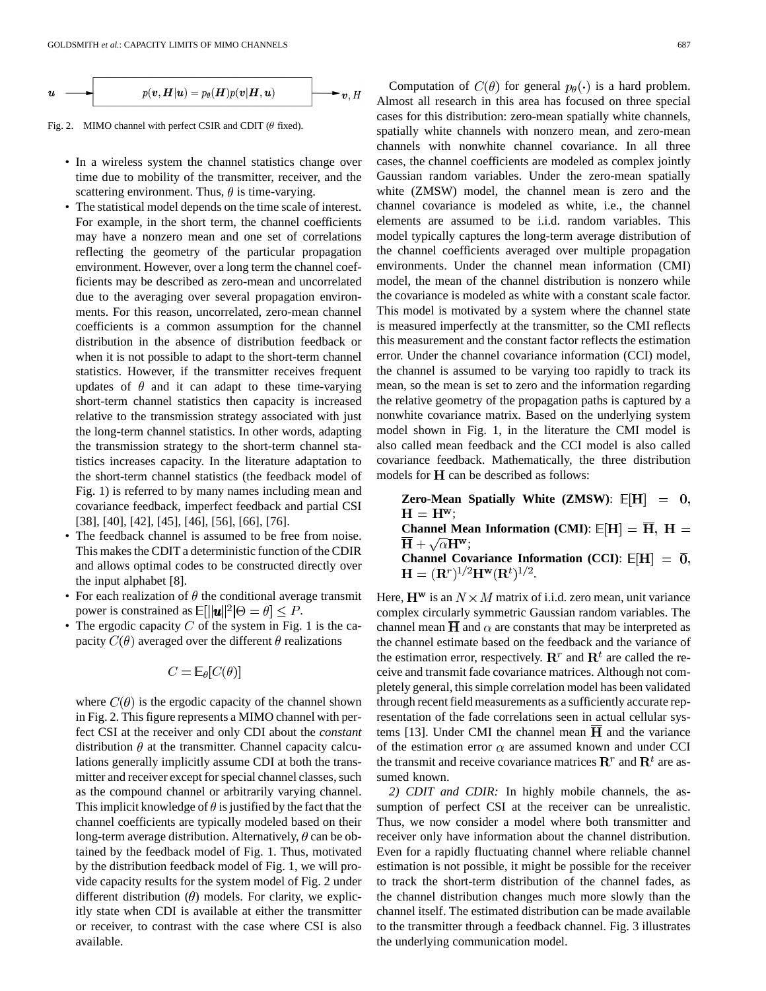$$
\boldsymbol{u} \longrightarrow \boldsymbol{p}(\boldsymbol{v},\boldsymbol{H}|\boldsymbol{u}) = p_{\theta}(\boldsymbol{H})p(\boldsymbol{v}|\boldsymbol{H},\boldsymbol{u}) \longrightarrow \boldsymbol{v},\boldsymbol{H}
$$

Fig. 2. MIMO channel with perfect CSIR and CDIT ( $\theta$  fixed).

- In a wireless system the channel statistics change over time due to mobility of the transmitter, receiver, and the scattering environment. Thus,  $\theta$  is time-varying.
- The statistical model depends on the time scale of interest. For example, in the short term, the channel coefficients may have a nonzero mean and one set of correlations reflecting the geometry of the particular propagation environment. However, over a long term the channel coefficients may be described as zero-mean and uncorrelated due to the averaging over several propagation environments. For this reason, uncorrelated, zero-mean channel coefficients is a common assumption for the channel distribution in the absence of distribution feedback or when it is not possible to adapt to the short-term channel statistics. However, if the transmitter receives frequent updates of  $\theta$  and it can adapt to these time-varying short-term channel statistics then capacity is increased relative to the transmission strategy associated with just the long-term channel statistics. In other words, adapting the transmission strategy to the short-term channel statistics increases capacity. In the literature adaptation to the short-term channel statistics (the feedback model of Fig. 1) is referred to by many names including mean and covariance feedback, imperfect feedback and partial CSI [38], [40], [42], [45], [46], [56], [66], [76].
- The feedback channel is assumed to be free from noise. This makes the CDIT a deterministic function of the CDIR and allows optimal codes to be constructed directly over the input alphabet [8].
- For each realization of  $\theta$  the conditional average transmit power is constrained as  $E[||\mathbf{u}||^2|\Theta = \theta] \leq P$ .
- The ergodic capacity  $C$  of the system in Fig. 1 is the capacity  $C(\theta)$  averaged over the different  $\theta$  realizations

$$
C = \mathbb{E}_{\theta}[C(\theta)]
$$

where  $C(\theta)$  is the ergodic capacity of the channel shown in Fig. 2. This figure represents a MIMO channel with perfect CSI at the receiver and only CDI about the *constant* distribution  $\theta$  at the transmitter. Channel capacity calculations generally implicitly assume CDI at both the transmitter and receiver except for special channel classes, such as the compound channel or arbitrarily varying channel. This implicit knowledge of  $\theta$  is justified by the fact that the channel coefficients are typically modeled based on their long-term average distribution. Alternatively,  $\theta$  can be obtained by the feedback model of Fig. 1. Thus, motivated by the distribution feedback model of Fig. 1, we will provide capacity results for the system model of Fig. 2 under different distribution  $(\theta)$  models. For clarity, we explicitly state when CDI is available at either the transmitter or receiver, to contrast with the case where CSI is also available.

Computation of  $C(\theta)$  for general  $p_{\theta}(\cdot)$  is a hard problem. Almost all research in this area has focused on three special cases for this distribution: zero-mean spatially white channels, spatially white channels with nonzero mean, and zero-mean channels with nonwhite channel covariance. In all three cases, the channel coefficients are modeled as complex jointly Gaussian random variables. Under the zero-mean spatially white (ZMSW) model, the channel mean is zero and the channel covariance is modeled as white, i.e., the channel elements are assumed to be i.i.d. random variables. This model typically captures the long-term average distribution of the channel coefficients averaged over multiple propagation environments. Under the channel mean information (CMI) model, the mean of the channel distribution is nonzero while the covariance is modeled as white with a constant scale factor. This model is motivated by a system where the channel state is measured imperfectly at the transmitter, so the CMI reflects this measurement and the constant factor reflects the estimation error. Under the channel covariance information (CCI) model, the channel is assumed to be varying too rapidly to track its mean, so the mean is set to zero and the information regarding the relative geometry of the propagation paths is captured by a nonwhite covariance matrix. Based on the underlying system model shown in Fig. 1, in the literature the CMI model is also called mean feedback and the CCI model is also called covariance feedback. Mathematically, the three distribution models for  $H$  can be described as follows:

**Zero-Mean Spatially White (ZMSW):**  $E[H] = 0$ ,  $H = H<sup>w</sup>$ ;

**Channel Mean Information (CMI):**  $E[H] = \overline{H}$ , H =  $\overline{H} + \sqrt{\alpha}H^{\mathbf{w}}$ ;

**Channel Covariance Information (CCI):**  $E[H] = \overline{0}$ ,  $H = (R^r)^{1/2} H^w(R^t)^{1/2}.$ 

Here,  $\mathbf{H}^{\mathbf{w}}$  is an  $N \times M$  matrix of i.i.d. zero mean, unit variance complex circularly symmetric Gaussian random variables. The channel mean  $\overline{H}$  and  $\alpha$  are constants that may be interpreted as the channel estimate based on the feedback and the variance of the estimation error, respectively.  $\mathbf{R}^r$  and  $\mathbf{R}^t$  are called the receive and transmit fade covariance matrices. Although not completely general, this simple correlation model has been validated through recent field measurements as a sufficiently accurate representation of the fade correlations seen in actual cellular systems  $[13]$ . Under CMI the channel mean  $H$  and the variance of the estimation error  $\alpha$  are assumed known and under CCI the transmit and receive covariance matrices  $\mathbb{R}^r$  and  $\mathbb{R}^t$  are assumed known.

*2) CDIT and CDIR:* In highly mobile channels, the assumption of perfect CSI at the receiver can be unrealistic. Thus, we now consider a model where both transmitter and receiver only have information about the channel distribution. Even for a rapidly fluctuating channel where reliable channel estimation is not possible, it might be possible for the receiver to track the short-term distribution of the channel fades, as the channel distribution changes much more slowly than the channel itself. The estimated distribution can be made available to the transmitter through a feedback channel. Fig. 3 illustrates the underlying communication model.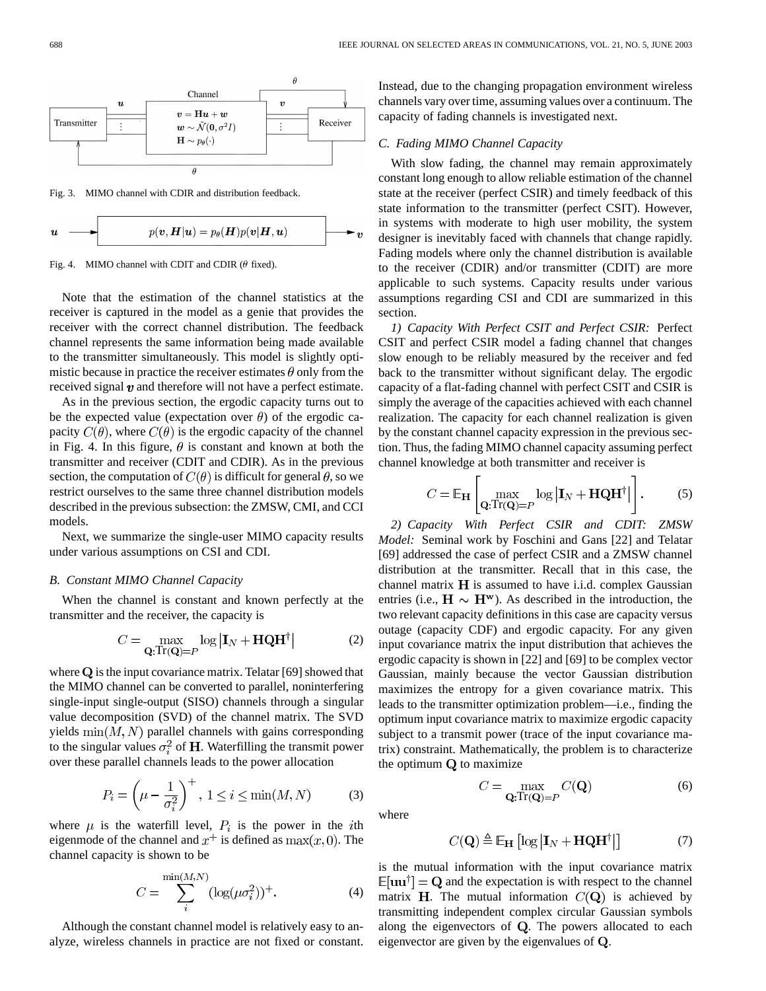

Fig. 3. MIMO channel with CDIR and distribution feedback.

$$
u \longrightarrow \qquad p(v, H | u) = p_{\theta}(H) p(v | H, u) \longrightarrow v
$$

Fig. 4. MIMO channel with CDIT and CDIR  $(\theta$  fixed).

Note that the estimation of the channel statistics at the receiver is captured in the model as a genie that provides the receiver with the correct channel distribution. The feedback channel represents the same information being made available to the transmitter simultaneously. This model is slightly optimistic because in practice the receiver estimates  $\theta$  only from the received signal  $v$  and therefore will not have a perfect estimate.

As in the previous section, the ergodic capacity turns out to be the expected value (expectation over  $\theta$ ) of the ergodic capacity  $C(\theta)$ , where  $C(\theta)$  is the ergodic capacity of the channel in Fig. 4. In this figure,  $\theta$  is constant and known at both the transmitter and receiver (CDIT and CDIR). As in the previous section, the computation of  $C(\theta)$  is difficult for general  $\theta$ , so we restrict ourselves to the same three channel distribution models described in the previous subsection: the ZMSW, CMI, and CCI models.

Next, we summarize the single-user MIMO capacity results under various assumptions on CSI and CDI.

#### *B. Constant MIMO Channel Capacity*

When the channel is constant and known perfectly at the transmitter and the receiver, the capacity is

$$
C = \max_{\mathbf{Q}: \text{Tr}(\mathbf{Q}) = P} \log |\mathbf{I}_N + \mathbf{H} \mathbf{Q} \mathbf{H}^\dagger|
$$
 (2)

where  $Q$  is the input covariance matrix. Telatar [69] showed that the MIMO channel can be converted to parallel, noninterfering single-input single-output (SISO) channels through a singular value decomposition (SVD) of the channel matrix. The SVD yields  $min(M, N)$  parallel channels with gains corresponding to the singular values  $\sigma_i^2$  of **H**. Waterfilling the transmit power over these parallel channels leads to the power allocation

$$
P_i = \left(\mu - \frac{1}{\sigma_i^2}\right)^+, \ 1 \le i \le \min(M, N) \tag{3}
$$

where  $\mu$  is the waterfill level,  $P_i$  is the power in the *i*th eigenmode of the channel and  $x^+$  is defined as  $\max(x, 0)$ . The channel capacity is shown to be

$$
C = \sum_{i}^{\min(M,N)} (\log(\mu \sigma_i^2))^+.
$$
 (4)

Although the constant channel model is relatively easy to analyze, wireless channels in practice are not fixed or constant.

Instead, due to the changing propagation environment wireless channels vary over time, assuming values over a continuum. The capacity of fading channels is investigated next.

### *C. Fading MIMO Channel Capacity*

With slow fading, the channel may remain approximately constant long enough to allow reliable estimation of the channel state at the receiver (perfect CSIR) and timely feedback of this state information to the transmitter (perfect CSIT). However, in systems with moderate to high user mobility, the system designer is inevitably faced with channels that change rapidly. Fading models where only the channel distribution is available to the receiver (CDIR) and/or transmitter (CDIT) are more applicable to such systems. Capacity results under various assumptions regarding CSI and CDI are summarized in this section.

*1) Capacity With Perfect CSIT and Perfect CSIR:* Perfect CSIT and perfect CSIR model a fading channel that changes slow enough to be reliably measured by the receiver and fed back to the transmitter without significant delay. The ergodic capacity of a flat-fading channel with perfect CSIT and CSIR is simply the average of the capacities achieved with each channel realization. The capacity for each channel realization is given by the constant channel capacity expression in the previous section. Thus, the fading MIMO channel capacity assuming perfect channel knowledge at both transmitter and receiver is

$$
C = \mathbb{E}_{\mathbf{H}} \left[ \max_{\mathbf{Q}: \text{Tr}(\mathbf{Q}) = P} \log |\mathbf{I}_N + \mathbf{H} \mathbf{Q} \mathbf{H}^{\dagger}| \right]. \tag{5}
$$

*2) Capacity With Perfect CSIR and CDIT: ZMSW Model:* Seminal work by Foschini and Gans [22] and Telatar [69] addressed the case of perfect CSIR and a ZMSW channel distribution at the transmitter. Recall that in this case, the channel matrix  $H$  is assumed to have i.i.d. complex Gaussian entries (i.e.,  $H \sim H^w$ ). As described in the introduction, the two relevant capacity definitions in this case are capacity versus outage (capacity CDF) and ergodic capacity. For any given input covariance matrix the input distribution that achieves the ergodic capacity is shown in [22] and [69] to be complex vector Gaussian, mainly because the vector Gaussian distribution maximizes the entropy for a given covariance matrix. This leads to the transmitter optimization problem—i.e., finding the optimum input covariance matrix to maximize ergodic capacity subject to a transmit power (trace of the input covariance matrix) constraint. Mathematically, the problem is to characterize the optimum  $Q$  to maximize

where

$$
C(\mathbf{Q}) \triangleq \mathbb{E}_{\mathbf{H}} \left[ \log \left| \mathbf{I}_N + \mathbf{H} \mathbf{Q} \mathbf{H}^\dagger \right| \right] \tag{7}
$$

 $C = \max_{\mathbf{Q}: \text{Tr}(\mathbf{Q}) = P} C(\mathbf{Q})$  (6)

is the mutual information with the input covariance matrix  $\mathbb{E}[\mathbf{u}\mathbf{u}^{\dagger}] = \mathbf{Q}$  and the expectation is with respect to the channel matrix **H**. The mutual information  $C(Q)$  is achieved by transmitting independent complex circular Gaussian symbols along the eigenvectors of  $Q$ . The powers allocated to each eigenvector are given by the eigenvalues of  $Q$ .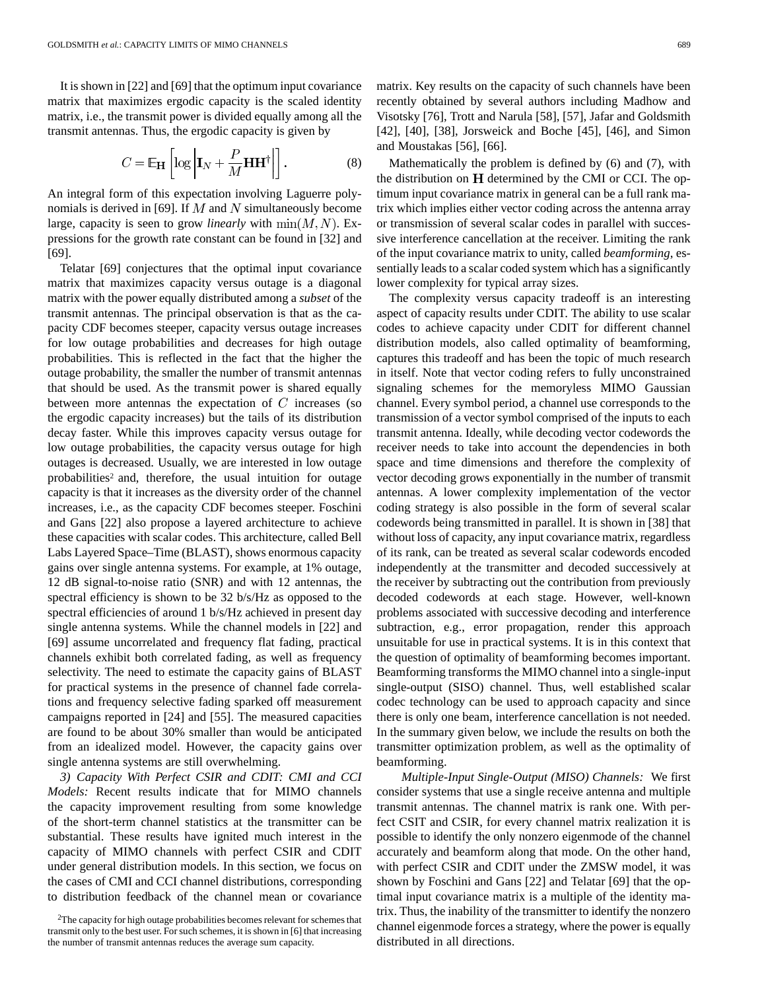It is shown in [22] and [69] that the optimum input covariance matrix that maximizes ergodic capacity is the scaled identity matrix, i.e., the transmit power is divided equally among all the transmit antennas. Thus, the ergodic capacity is given by

$$
C = \mathbb{E}_{\mathbf{H}} \left[ \log \left| \mathbf{I}_N + \frac{P}{M} \mathbf{H} \mathbf{H}^\dagger \right| \right]. \tag{8}
$$

An integral form of this expectation involving Laguerre polynomials is derived in [69]. If  $M$  and  $N$  simultaneously become large, capacity is seen to grow *linearly* with  $\min(M, N)$ . Expressions for the growth rate constant can be found in [32] and [69].

Telatar [69] conjectures that the optimal input covariance matrix that maximizes capacity versus outage is a diagonal matrix with the power equally distributed among a *subset* of the transmit antennas. The principal observation is that as the capacity CDF becomes steeper, capacity versus outage increases for low outage probabilities and decreases for high outage probabilities. This is reflected in the fact that the higher the outage probability, the smaller the number of transmit antennas that should be used. As the transmit power is shared equally between more antennas the expectation of  $C$  increases (so the ergodic capacity increases) but the tails of its distribution decay faster. While this improves capacity versus outage for low outage probabilities, the capacity versus outage for high outages is decreased. Usually, we are interested in low outage probabilities<sup>2</sup> and, therefore, the usual intuition for outage capacity is that it increases as the diversity order of the channel increases, i.e., as the capacity CDF becomes steeper. Foschini and Gans [22] also propose a layered architecture to achieve these capacities with scalar codes. This architecture, called Bell Labs Layered Space–Time (BLAST), shows enormous capacity gains over single antenna systems. For example, at 1% outage, 12 dB signal-to-noise ratio (SNR) and with 12 antennas, the spectral efficiency is shown to be 32 b/s/Hz as opposed to the spectral efficiencies of around 1 b/s/Hz achieved in present day single antenna systems. While the channel models in [22] and [69] assume uncorrelated and frequency flat fading, practical channels exhibit both correlated fading, as well as frequency selectivity. The need to estimate the capacity gains of BLAST for practical systems in the presence of channel fade correlations and frequency selective fading sparked off measurement campaigns reported in [24] and [55]. The measured capacities are found to be about 30% smaller than would be anticipated from an idealized model. However, the capacity gains over single antenna systems are still overwhelming.

*3) Capacity With Perfect CSIR and CDIT: CMI and CCI Models:* Recent results indicate that for MIMO channels the capacity improvement resulting from some knowledge of the short-term channel statistics at the transmitter can be substantial. These results have ignited much interest in the capacity of MIMO channels with perfect CSIR and CDIT under general distribution models. In this section, we focus on the cases of CMI and CCI channel distributions, corresponding to distribution feedback of the channel mean or covariance matrix. Key results on the capacity of such channels have been recently obtained by several authors including Madhow and Visotsky [76], Trott and Narula [58], [57], Jafar and Goldsmith [42], [40], [38], Jorsweick and Boche [45], [46], and Simon and Moustakas [56], [66].

Mathematically the problem is defined by (6) and (7), with the distribution on  $H$  determined by the CMI or CCI. The optimum input covariance matrix in general can be a full rank matrix which implies either vector coding across the antenna array or transmission of several scalar codes in parallel with successive interference cancellation at the receiver. Limiting the rank of the input covariance matrix to unity, called *beamforming*, essentially leads to a scalar coded system which has a significantly lower complexity for typical array sizes.

The complexity versus capacity tradeoff is an interesting aspect of capacity results under CDIT. The ability to use scalar codes to achieve capacity under CDIT for different channel distribution models, also called optimality of beamforming, captures this tradeoff and has been the topic of much research in itself. Note that vector coding refers to fully unconstrained signaling schemes for the memoryless MIMO Gaussian channel. Every symbol period, a channel use corresponds to the transmission of a vector symbol comprised of the inputs to each transmit antenna. Ideally, while decoding vector codewords the receiver needs to take into account the dependencies in both space and time dimensions and therefore the complexity of vector decoding grows exponentially in the number of transmit antennas. A lower complexity implementation of the vector coding strategy is also possible in the form of several scalar codewords being transmitted in parallel. It is shown in [38] that without loss of capacity, any input covariance matrix, regardless of its rank, can be treated as several scalar codewords encoded independently at the transmitter and decoded successively at the receiver by subtracting out the contribution from previously decoded codewords at each stage. However, well-known problems associated with successive decoding and interference subtraction, e.g., error propagation, render this approach unsuitable for use in practical systems. It is in this context that the question of optimality of beamforming becomes important. Beamforming transforms the MIMO channel into a single-input single-output (SISO) channel. Thus, well established scalar codec technology can be used to approach capacity and since there is only one beam, interference cancellation is not needed. In the summary given below, we include the results on both the transmitter optimization problem, as well as the optimality of beamforming.

*Multiple-Input Single-Output (MISO) Channels:* We first consider systems that use a single receive antenna and multiple transmit antennas. The channel matrix is rank one. With perfect CSIT and CSIR, for every channel matrix realization it is possible to identify the only nonzero eigenmode of the channel accurately and beamform along that mode. On the other hand, with perfect CSIR and CDIT under the ZMSW model, it was shown by Foschini and Gans [22] and Telatar [69] that the optimal input covariance matrix is a multiple of the identity matrix. Thus, the inability of the transmitter to identify the nonzero channel eigenmode forces a strategy, where the power is equally distributed in all directions.

<sup>2</sup>The capacity for high outage probabilities becomes relevant for schemes that transmit only to the best user. For such schemes, it is shown in [6] that increasing the number of transmit antennas reduces the average sum capacity.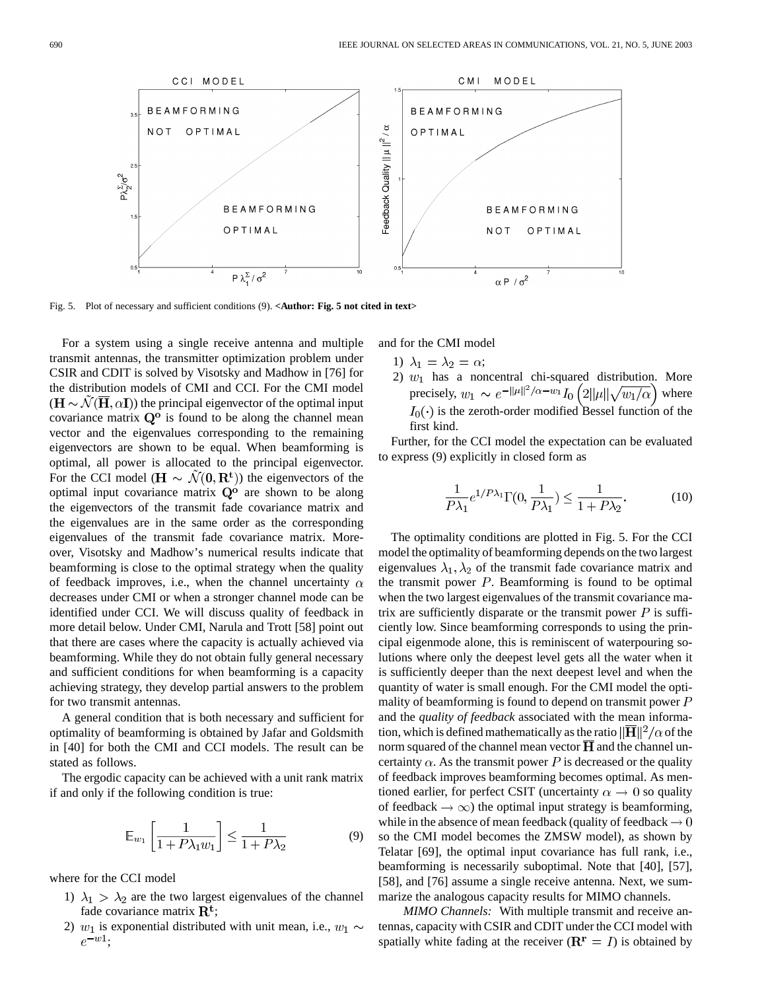

Fig. 5. Plot of necessary and sufficient conditions (9). **<Author: Fig. 5 not cited in text>**

For a system using a single receive antenna and multiple transmit antennas, the transmitter optimization problem under CSIR and CDIT is solved by Visotsky and Madhow in [76] for the distribution models of CMI and CCI. For the CMI model  $(H \sim \mathcal{N}(\overline{H}, \alpha I))$  the principal eigenvector of the optimal input covariance matrix  $Q<sup>o</sup>$  is found to be along the channel mean vector and the eigenvalues corresponding to the remaining eigenvectors are shown to be equal. When beamforming is optimal, all power is allocated to the principal eigenvector. For the CCI model ( $\mathbf{H} \sim \mathcal{N}(\mathbf{0}, \mathbf{R}^{t})$ ) the eigenvectors of the optimal input covariance matrix  $Q^{\circ}$  are shown to be along the eigenvectors of the transmit fade covariance matrix and the eigenvalues are in the same order as the corresponding eigenvalues of the transmit fade covariance matrix. Moreover, Visotsky and Madhow's numerical results indicate that beamforming is close to the optimal strategy when the quality of feedback improves, i.e., when the channel uncertainty  $\alpha$ decreases under CMI or when a stronger channel mode can be identified under CCI. We will discuss quality of feedback in more detail below. Under CMI, Narula and Trott [58] point out that there are cases where the capacity is actually achieved via beamforming. While they do not obtain fully general necessary and sufficient conditions for when beamforming is a capacity achieving strategy, they develop partial answers to the problem for two transmit antennas.

A general condition that is both necessary and sufficient for optimality of beamforming is obtained by Jafar and Goldsmith in [40] for both the CMI and CCI models. The result can be stated as follows.

The ergodic capacity can be achieved with a unit rank matrix if and only if the following condition is true:

$$
\mathbb{E}_{w_1} \left[ \frac{1}{1 + P\lambda_1 w_1} \right] \le \frac{1}{1 + P\lambda_2} \tag{9}
$$

where for the CCI model

- 1)  $\lambda_1 > \lambda_2$  are the two largest eigenvalues of the channel fade covariance matrix  $\mathbf{R}^{t}$ ;
- 2)  $w_1$  is exponential distributed with unit mean, i.e.,  $w_1 \sim$  $e^{-w_1}$

and for the CMI model

- 1)  $\lambda_1 = \lambda_2 = \alpha;$
- 2)  $w_1$  has a noncentral chi-squared distribution. More precisely,  $w_1 \sim e^{-||\mu||^2/\alpha - w_1} I_0 \left(2||\mu||\sqrt{w_1/\alpha}\right)$  where  $I_0(\cdot)$  is the zeroth-order modified Bessel function of the first kind.

Further, for the CCI model the expectation can be evaluated to express (9) explicitly in closed form as

$$
\frac{1}{P\lambda_1}e^{1/P\lambda_1}\Gamma(0,\frac{1}{P\lambda_1}) \le \frac{1}{1+P\lambda_2}.\tag{10}
$$

The optimality conditions are plotted in Fig. 5. For the CCI model the optimality of beamforming depends on the two largest eigenvalues  $\lambda_1, \lambda_2$  of the transmit fade covariance matrix and the transmit power  $P$ . Beamforming is found to be optimal when the two largest eigenvalues of the transmit covariance matrix are sufficiently disparate or the transmit power  $P$  is sufficiently low. Since beamforming corresponds to using the principal eigenmode alone, this is reminiscent of waterpouring solutions where only the deepest level gets all the water when it is sufficiently deeper than the next deepest level and when the quantity of water is small enough. For the CMI model the optimality of beamforming is found to depend on transmit power  $P$ and the *quality of feedback* associated with the mean information, which is defined mathematically as the ratio  $\|\overline{H}\|^2/\alpha$  of the norm squared of the channel mean vector  $\overline{H}$  and the channel uncertainty  $\alpha$ . As the transmit power P is decreased or the quality of feedback improves beamforming becomes optimal. As mentioned earlier, for perfect CSIT (uncertainty  $\alpha \to 0$  so quality of feedback  $\rightarrow \infty$ ) the optimal input strategy is beamforming, while in the absence of mean feedback (quality of feedback  $\rightarrow 0$ so the CMI model becomes the ZMSW model), as shown by Telatar [69], the optimal input covariance has full rank, i.e., beamforming is necessarily suboptimal. Note that [40], [57], [58], and [76] assume a single receive antenna. Next, we summarize the analogous capacity results for MIMO channels.

*MIMO Channels:* With multiple transmit and receive antennas, capacity with CSIR and CDIT under the CCI model with spatially white fading at the receiver  $({\bf R}^{\bf r} = I)$  is obtained by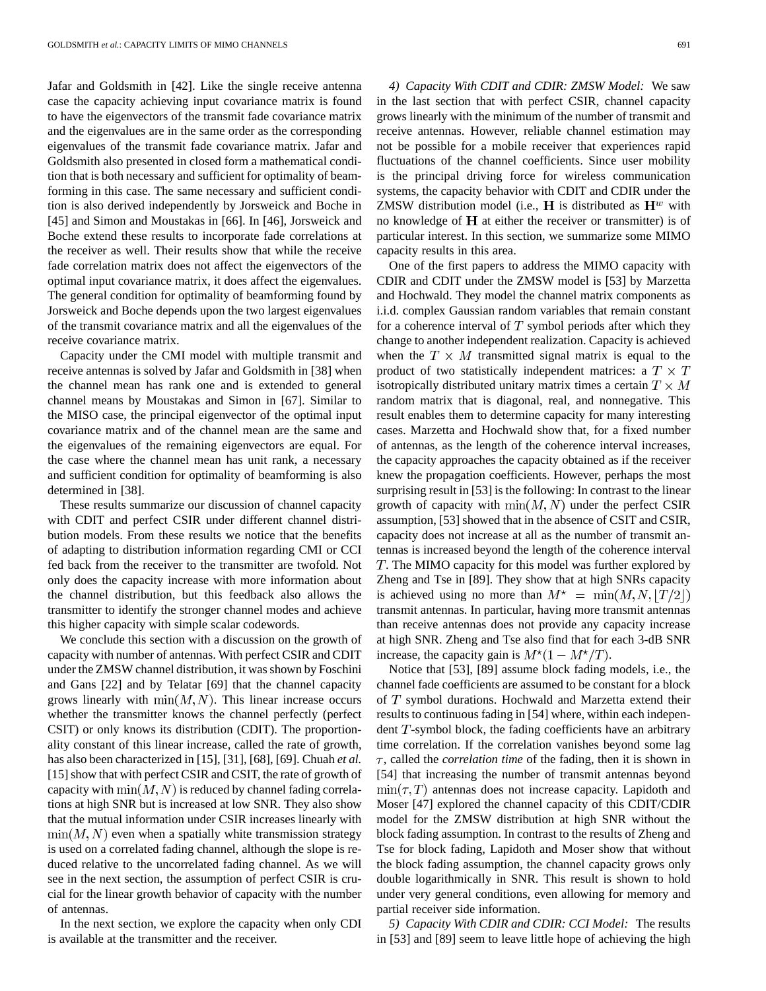Jafar and Goldsmith in [42]. Like the single receive antenna case the capacity achieving input covariance matrix is found to have the eigenvectors of the transmit fade covariance matrix and the eigenvalues are in the same order as the corresponding eigenvalues of the transmit fade covariance matrix. Jafar and Goldsmith also presented in closed form a mathematical condition that is both necessary and sufficient for optimality of beamforming in this case. The same necessary and sufficient condition is also derived independently by Jorsweick and Boche in [45] and Simon and Moustakas in [66]. In [46], Jorsweick and Boche extend these results to incorporate fade correlations at the receiver as well. Their results show that while the receive fade correlation matrix does not affect the eigenvectors of the optimal input covariance matrix, it does affect the eigenvalues. The general condition for optimality of beamforming found by Jorsweick and Boche depends upon the two largest eigenvalues of the transmit covariance matrix and all the eigenvalues of the receive covariance matrix.

Capacity under the CMI model with multiple transmit and receive antennas is solved by Jafar and Goldsmith in [38] when the channel mean has rank one and is extended to general channel means by Moustakas and Simon in [67]. Similar to the MISO case, the principal eigenvector of the optimal input covariance matrix and of the channel mean are the same and the eigenvalues of the remaining eigenvectors are equal. For the case where the channel mean has unit rank, a necessary and sufficient condition for optimality of beamforming is also determined in [38].

These results summarize our discussion of channel capacity with CDIT and perfect CSIR under different channel distribution models. From these results we notice that the benefits of adapting to distribution information regarding CMI or CCI fed back from the receiver to the transmitter are twofold. Not only does the capacity increase with more information about the channel distribution, but this feedback also allows the transmitter to identify the stronger channel modes and achieve this higher capacity with simple scalar codewords.

We conclude this section with a discussion on the growth of capacity with number of antennas. With perfect CSIR and CDIT under the ZMSW channel distribution, it was shown by Foschini and Gans [22] and by Telatar [69] that the channel capacity grows linearly with  $\min(M, N)$ . This linear increase occurs whether the transmitter knows the channel perfectly (perfect CSIT) or only knows its distribution (CDIT). The proportionality constant of this linear increase, called the rate of growth, has also been characterized in [15], [31], [68], [69]. Chuah *et al.* [15] show that with perfect CSIR and CSIT, the rate of growth of capacity with  $\min(M, N)$  is reduced by channel fading correlations at high SNR but is increased at low SNR. They also show that the mutual information under CSIR increases linearly with  $min(M, N)$  even when a spatially white transmission strategy is used on a correlated fading channel, although the slope is reduced relative to the uncorrelated fading channel. As we will see in the next section, the assumption of perfect CSIR is crucial for the linear growth behavior of capacity with the number of antennas.

In the next section, we explore the capacity when only CDI is available at the transmitter and the receiver.

*4) Capacity With CDIT and CDIR: ZMSW Model:* We saw in the last section that with perfect CSIR, channel capacity grows linearly with the minimum of the number of transmit and receive antennas. However, reliable channel estimation may not be possible for a mobile receiver that experiences rapid fluctuations of the channel coefficients. Since user mobility is the principal driving force for wireless communication systems, the capacity behavior with CDIT and CDIR under the ZMSW distribution model (i.e., H is distributed as  $H^w$  with no knowledge of  $H$  at either the receiver or transmitter) is of particular interest. In this section, we summarize some MIMO capacity results in this area.

One of the first papers to address the MIMO capacity with CDIR and CDIT under the ZMSW model is [53] by Marzetta and Hochwald. They model the channel matrix components as i.i.d. complex Gaussian random variables that remain constant for a coherence interval of  $T$  symbol periods after which they change to another independent realization. Capacity is achieved when the  $T \times M$  transmitted signal matrix is equal to the product of two statistically independent matrices: a  $T \times T$ isotropically distributed unitary matrix times a certain  $T \times M$ random matrix that is diagonal, real, and nonnegative. This result enables them to determine capacity for many interesting cases. Marzetta and Hochwald show that, for a fixed number of antennas, as the length of the coherence interval increases, the capacity approaches the capacity obtained as if the receiver knew the propagation coefficients. However, perhaps the most surprising result in [53] is the following: In contrast to the linear growth of capacity with  $\min(M, N)$  under the perfect CSIR assumption, [53] showed that in the absence of CSIT and CSIR, capacity does not increase at all as the number of transmit antennas is increased beyond the length of the coherence interval . The MIMO capacity for this model was further explored by Zheng and Tse in [89]. They show that at high SNRs capacity is achieved using no more than  $M^* = \min(M, N, |T/2|)$ transmit antennas. In particular, having more transmit antennas than receive antennas does not provide any capacity increase at high SNR. Zheng and Tse also find that for each 3-dB SNR increase, the capacity gain is  $M^*(1 - M^*/T)$ .

Notice that [53], [89] assume block fading models, i.e., the channel fade coefficients are assumed to be constant for a block of  $T$  symbol durations. Hochwald and Marzetta extend their results to continuous fading in [54] where, within each independent  $T$ -symbol block, the fading coefficients have an arbitrary time correlation. If the correlation vanishes beyond some lag , called the *correlation time* of the fading, then it is shown in [54] that increasing the number of transmit antennas beyond  $\min(\tau, T)$  antennas does not increase capacity. Lapidoth and Moser [47] explored the channel capacity of this CDIT/CDIR model for the ZMSW distribution at high SNR without the block fading assumption. In contrast to the results of Zheng and Tse for block fading, Lapidoth and Moser show that without the block fading assumption, the channel capacity grows only double logarithmically in SNR. This result is shown to hold under very general conditions, even allowing for memory and partial receiver side information.

*5) Capacity With CDIR and CDIR: CCI Model:* The results in [53] and [89] seem to leave little hope of achieving the high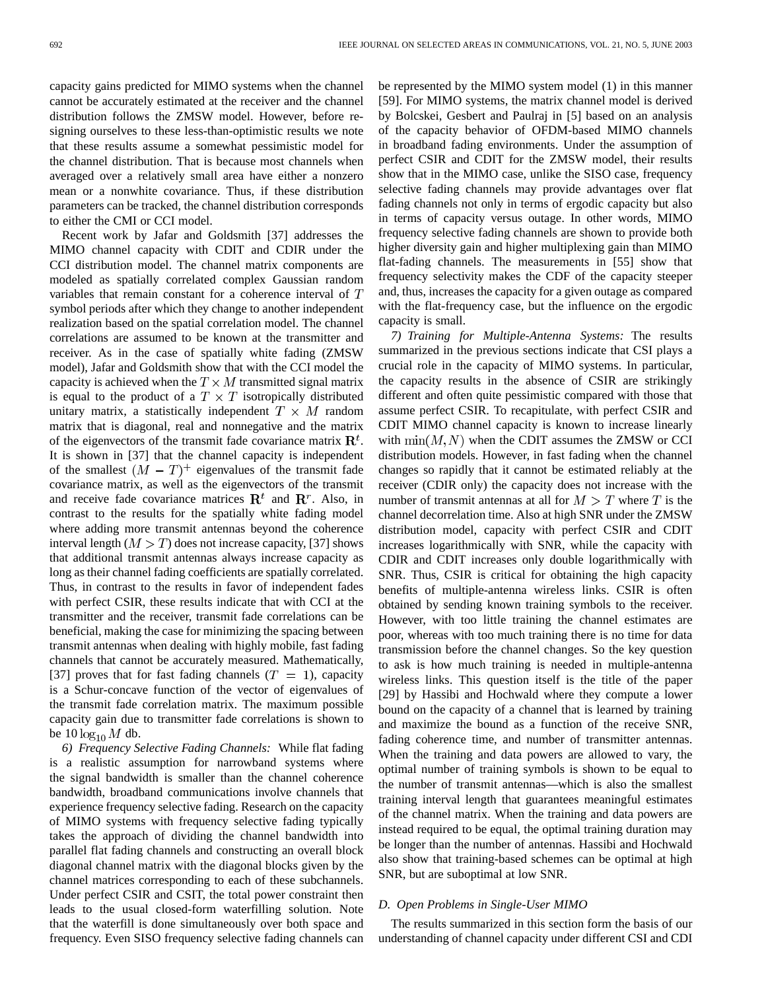capacity gains predicted for MIMO systems when the channel cannot be accurately estimated at the receiver and the channel distribution follows the ZMSW model. However, before resigning ourselves to these less-than-optimistic results we note that these results assume a somewhat pessimistic model for the channel distribution. That is because most channels when averaged over a relatively small area have either a nonzero mean or a nonwhite covariance. Thus, if these distribution parameters can be tracked, the channel distribution corresponds to either the CMI or CCI model.

Recent work by Jafar and Goldsmith [37] addresses the MIMO channel capacity with CDIT and CDIR under the CCI distribution model. The channel matrix components are modeled as spatially correlated complex Gaussian random variables that remain constant for a coherence interval of  $T$ symbol periods after which they change to another independent realization based on the spatial correlation model. The channel correlations are assumed to be known at the transmitter and receiver. As in the case of spatially white fading (ZMSW model), Jafar and Goldsmith show that with the CCI model the capacity is achieved when the  $T \times M$  transmitted signal matrix is equal to the product of a  $T \times T$  isotropically distributed unitary matrix, a statistically independent  $T \times M$  random matrix that is diagonal, real and nonnegative and the matrix of the eigenvectors of the transmit fade covariance matrix  $\mathbf{R}^{t}$ . It is shown in [37] that the channel capacity is independent of the smallest  $(M - T)^+$  eigenvalues of the transmit fade covariance matrix, as well as the eigenvectors of the transmit and receive fade covariance matrices  $\mathbf{R}^t$  and  $\mathbf{R}^r$ . Also, in contrast to the results for the spatially white fading model where adding more transmit antennas beyond the coherence interval length  $(M > T)$  does not increase capacity, [37] shows that additional transmit antennas always increase capacity as long as their channel fading coefficients are spatially correlated. Thus, in contrast to the results in favor of independent fades with perfect CSIR, these results indicate that with CCI at the transmitter and the receiver, transmit fade correlations can be beneficial, making the case for minimizing the spacing between transmit antennas when dealing with highly mobile, fast fading channels that cannot be accurately measured. Mathematically, [37] proves that for fast fading channels  $(T = 1)$ , capacity is a Schur-concave function of the vector of eigenvalues of the transmit fade correlation matrix. The maximum possible capacity gain due to transmitter fade correlations is shown to be  $10 \log_{10} M$  db.

*6) Frequency Selective Fading Channels:* While flat fading is a realistic assumption for narrowband systems where the signal bandwidth is smaller than the channel coherence bandwidth, broadband communications involve channels that experience frequency selective fading. Research on the capacity of MIMO systems with frequency selective fading typically takes the approach of dividing the channel bandwidth into parallel flat fading channels and constructing an overall block diagonal channel matrix with the diagonal blocks given by the channel matrices corresponding to each of these subchannels. Under perfect CSIR and CSIT, the total power constraint then leads to the usual closed-form waterfilling solution. Note that the waterfill is done simultaneously over both space and frequency. Even SISO frequency selective fading channels can be represented by the MIMO system model (1) in this manner [59]. For MIMO systems, the matrix channel model is derived by Bolcskei, Gesbert and Paulraj in [5] based on an analysis of the capacity behavior of OFDM-based MIMO channels in broadband fading environments. Under the assumption of perfect CSIR and CDIT for the ZMSW model, their results show that in the MIMO case, unlike the SISO case, frequency selective fading channels may provide advantages over flat fading channels not only in terms of ergodic capacity but also in terms of capacity versus outage. In other words, MIMO frequency selective fading channels are shown to provide both higher diversity gain and higher multiplexing gain than MIMO flat-fading channels. The measurements in [55] show that frequency selectivity makes the CDF of the capacity steeper and, thus, increases the capacity for a given outage as compared with the flat-frequency case, but the influence on the ergodic capacity is small.

*7) Training for Multiple-Antenna Systems:* The results summarized in the previous sections indicate that CSI plays a crucial role in the capacity of MIMO systems. In particular, the capacity results in the absence of CSIR are strikingly different and often quite pessimistic compared with those that assume perfect CSIR. To recapitulate, with perfect CSIR and CDIT MIMO channel capacity is known to increase linearly with  $\min(M, N)$  when the CDIT assumes the ZMSW or CCI distribution models. However, in fast fading when the channel changes so rapidly that it cannot be estimated reliably at the receiver (CDIR only) the capacity does not increase with the number of transmit antennas at all for  $M > T$  where T is the channel decorrelation time. Also at high SNR under the ZMSW distribution model, capacity with perfect CSIR and CDIT increases logarithmically with SNR, while the capacity with CDIR and CDIT increases only double logarithmically with SNR. Thus, CSIR is critical for obtaining the high capacity benefits of multiple-antenna wireless links. CSIR is often obtained by sending known training symbols to the receiver. However, with too little training the channel estimates are poor, whereas with too much training there is no time for data transmission before the channel changes. So the key question to ask is how much training is needed in multiple-antenna wireless links. This question itself is the title of the paper [29] by Hassibi and Hochwald where they compute a lower bound on the capacity of a channel that is learned by training and maximize the bound as a function of the receive SNR, fading coherence time, and number of transmitter antennas. When the training and data powers are allowed to vary, the optimal number of training symbols is shown to be equal to the number of transmit antennas—which is also the smallest training interval length that guarantees meaningful estimates of the channel matrix. When the training and data powers are instead required to be equal, the optimal training duration may be longer than the number of antennas. Hassibi and Hochwald also show that training-based schemes can be optimal at high SNR, but are suboptimal at low SNR.

#### *D. Open Problems in Single-User MIMO*

The results summarized in this section form the basis of our understanding of channel capacity under different CSI and CDI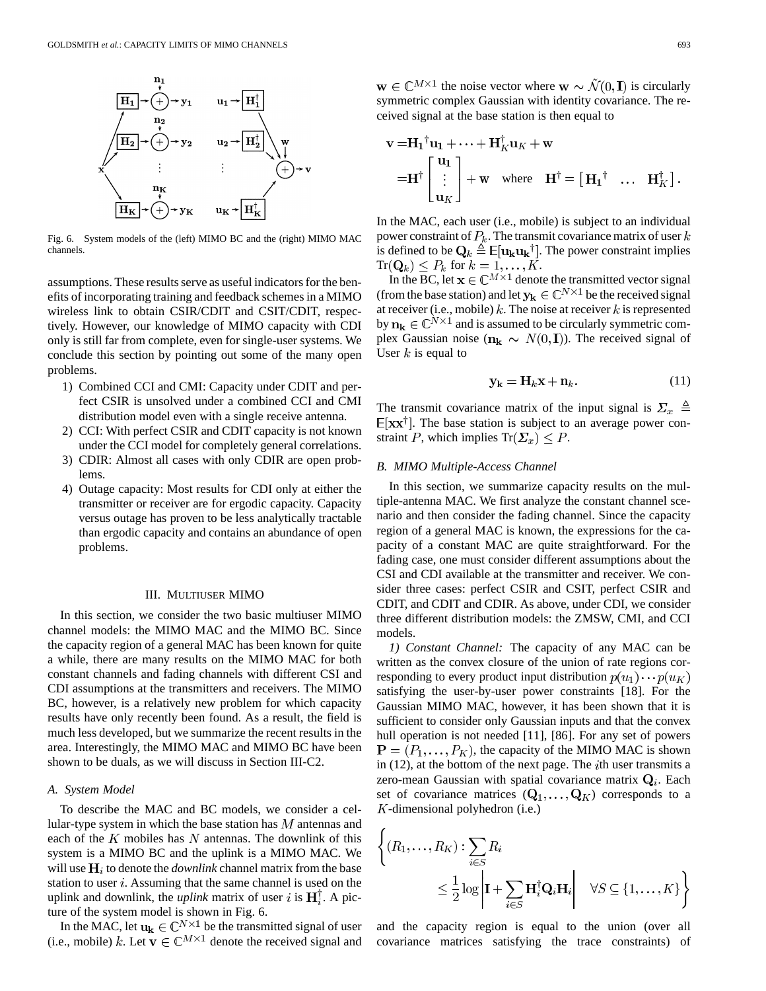

Fig. 6. System models of the (left) MIMO BC and the (right) MIMO MAC channels.

assumptions. These results serve as useful indicators for the benefits of incorporating training and feedback schemes in a MIMO wireless link to obtain CSIR/CDIT and CSIT/CDIT, respectively. However, our knowledge of MIMO capacity with CDI only is still far from complete, even for single-user systems. We conclude this section by pointing out some of the many open problems.

- 1) Combined CCI and CMI: Capacity under CDIT and perfect CSIR is unsolved under a combined CCI and CMI distribution model even with a single receive antenna.
- 2) CCI: With perfect CSIR and CDIT capacity is not known under the CCI model for completely general correlations.
- 3) CDIR: Almost all cases with only CDIR are open problems.
- 4) Outage capacity: Most results for CDI only at either the transmitter or receiver are for ergodic capacity. Capacity versus outage has proven to be less analytically tractable than ergodic capacity and contains an abundance of open problems.

#### III. MULTIUSER MIMO

In this section, we consider the two basic multiuser MIMO channel models: the MIMO MAC and the MIMO BC. Since the capacity region of a general MAC has been known for quite a while, there are many results on the MIMO MAC for both constant channels and fading channels with different CSI and CDI assumptions at the transmitters and receivers. The MIMO BC, however, is a relatively new problem for which capacity results have only recently been found. As a result, the field is much less developed, but we summarize the recent results in the area. Interestingly, the MIMO MAC and MIMO BC have been shown to be duals, as we will discuss in Section III-C2.

# *A. System Model*

To describe the MAC and BC models, we consider a cellular-type system in which the base station has  $M$  antennas and each of the  $K$  mobiles has  $N$  antennas. The downlink of this system is a MIMO BC and the uplink is a MIMO MAC. We will use  $H_i$  to denote the *downlink* channel matrix from the base station to user  $i$ . Assuming that the same channel is used on the uplink and downlink, the *uplink* matrix of user i is  $H_i^{\dagger}$ . A picture of the system model is shown in Fig. 6.

In the MAC, let  $\mathbf{u_k} \in \mathbb{C}^{N \times 1}$  be the transmitted signal of user (i.e., mobile) k. Let  $\mathbf{v} \in \mathbb{C}^{M \times 1}$  denote the received signal and  $\mathbf{w} \in \mathbb{C}^{M \times 1}$  the noise vector where  $\mathbf{w} \sim \tilde{\mathcal{N}}(0, \mathbf{I})$  is circularly symmetric complex Gaussian with identity covariance. The received signal at the base station is then equal to

$$
\mathbf{v} = \mathbf{H}_1^{\dagger} \mathbf{u}_1 + \dots + \mathbf{H}_K^{\dagger} \mathbf{u}_K + \mathbf{w}
$$
  
=
$$
\mathbf{H}^{\dagger} \begin{bmatrix} \mathbf{u}_1 \\ \vdots \\ \mathbf{u}_K \end{bmatrix} + \mathbf{w} \text{ where } \mathbf{H}^{\dagger} = \begin{bmatrix} \mathbf{H}_1^{\dagger} & \dots & \mathbf{H}_K^{\dagger} \end{bmatrix}.
$$

In the MAC, each user (i.e., mobile) is subject to an individual power constraint of  $P_k$ . The transmit covariance matrix of user k is defined to be  $\mathbf{Q}_k \triangleq \mathbb{E}[\mathbf{u_k u_k}^{\dagger}]$ . The power constraint implies  $\text{Tr}(\mathbf{Q}_k) \leq P_k$  for  $k = 1, \ldots, K$ .

In the BC, let  $\mathbf{x} \in \mathbb{C}^{M \times 1}$  denote the transmitted vector signal (from the base station) and let  $y_k \in \mathbb{C}^{N \times 1}$  be the received signal at receiver (i.e., mobile)  $k$ . The noise at receiver  $k$  is represented by  $n_k \in \mathbb{C}^{N \times 1}$  and is assumed to be circularly symmetric complex Gaussian noise ( $n_k \sim N(0, I)$ ). The received signal of User  $k$  is equal to

$$
\mathbf{y_k} = \mathbf{H}_k \mathbf{x} + \mathbf{n}_k. \tag{11}
$$

The transmit covariance matrix of the input signal is  $\Sigma_x \triangleq$  $\mathbb{E}[\mathbf{x} \mathbf{x}^{\dagger}]$ . The base station is subject to an average power constraint P, which implies  $\text{Tr}(\Sigma_x) \leq P$ .

## *B. MIMO Multiple-Access Channel*

In this section, we summarize capacity results on the multiple-antenna MAC. We first analyze the constant channel scenario and then consider the fading channel. Since the capacity region of a general MAC is known, the expressions for the capacity of a constant MAC are quite straightforward. For the fading case, one must consider different assumptions about the CSI and CDI available at the transmitter and receiver. We consider three cases: perfect CSIR and CSIT, perfect CSIR and CDIT, and CDIT and CDIR. As above, under CDI, we consider three different distribution models: the ZMSW, CMI, and CCI models.

*1) Constant Channel:* The capacity of any MAC can be written as the convex closure of the union of rate regions corresponding to every product input distribution  $p(u_1) \cdots p(u_K)$ satisfying the user-by-user power constraints [18]. For the Gaussian MIMO MAC, however, it has been shown that it is sufficient to consider only Gaussian inputs and that the convex hull operation is not needed [11], [86]. For any set of powers  ${\bf P}=(P_1,\ldots,P_K)$ , the capacity of the MIMO MAC is shown in  $(12)$ , at the bottom of the next page. The *i*th user transmits a zero-mean Gaussian with spatial covariance matrix  $Q_i$ . Each set of covariance matrices  $(Q_1, \ldots, Q_K)$  corresponds to a  $K$ -dimensional polyhedron (i.e.)

$$
\left\{ (R_1, \dots, R_K) : \sum_{i \in S} R_i
$$
  

$$
\leq \frac{1}{2} \log \left| \mathbf{I} + \sum_{i \in S} \mathbf{H}_i^{\dagger} \mathbf{Q}_i \mathbf{H}_i \right| \quad \forall S \subseteq \{1, \dots, K\} \right\}
$$

and the capacity region is equal to the union (over all covariance matrices satisfying the trace constraints) of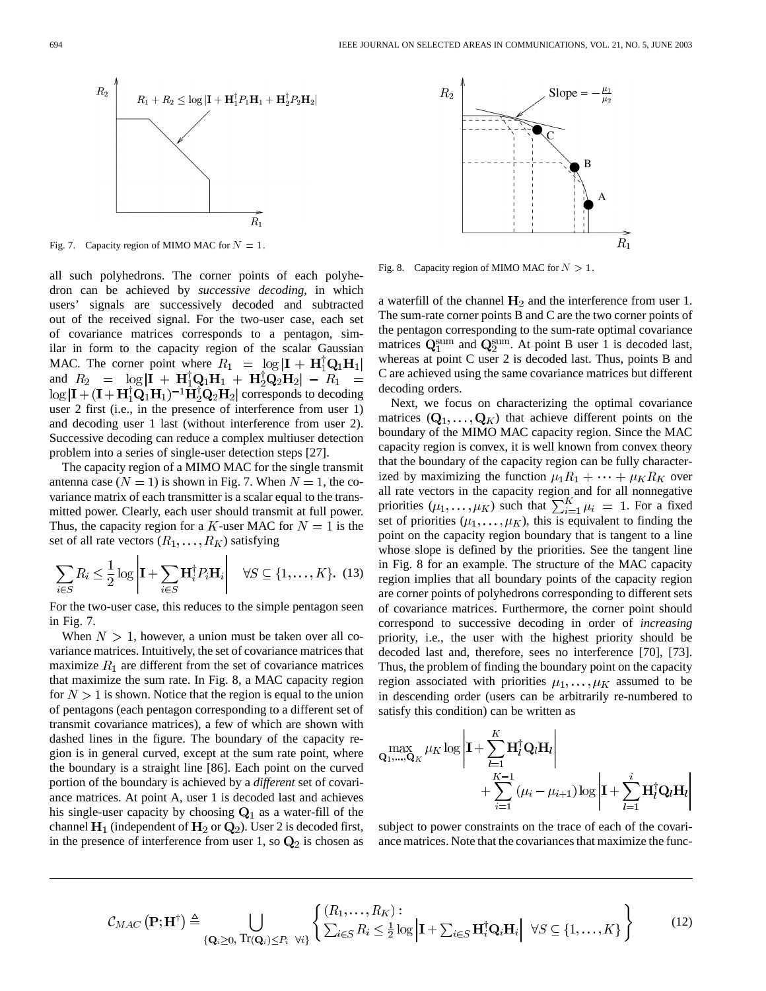

Fig. 7. Capacity region of MIMO MAC for  $N = 1$ .

all such polyhedrons. The corner points of each polyhedron can be achieved by *successive decoding*, in which users' signals are successively decoded and subtracted out of the received signal. For the two-user case, each set of covariance matrices corresponds to a pentagon, similar in form to the capacity region of the scalar Gaussian MAC. The corner point where  $R_1 = \log |\mathbf{I} + \mathbf{H}_1^{\dagger} \mathbf{Q}_1 \mathbf{H}_1|$ and  $R_2 = \log |\mathbf{I} + \mathbf{H}_1^{\dagger} \mathbf{Q}_1 \mathbf{H}_1 + \mathbf{H}_2^{\dagger} \mathbf{Q}_2 \mathbf{H}_2| - R_1 =$  $\log|\mathbf{I} + (\mathbf{I} + \mathbf{H}_1^{\dagger} \mathbf{Q}_1 \mathbf{H}_1)^{-1} \mathbf{H}_2^{\dagger} \mathbf{Q}_2 \mathbf{H}_2|$  corresponds to decoding user 2 first (i.e., in the presence of interference from user 1) and decoding user 1 last (without interference from user 2). Successive decoding can reduce a complex multiuser detection problem into a series of single-user detection steps [27].

The capacity region of a MIMO MAC for the single transmit antenna case ( $N = 1$ ) is shown in Fig. 7. When  $N = 1$ , the covariance matrix of each transmitter is a scalar equal to the transmitted power. Clearly, each user should transmit at full power. Thus, the capacity region for a K-user MAC for  $N = 1$  is the set of all rate vectors  $(R_1, \ldots, R_K)$  satisfying

$$
\sum_{i \in S} R_i \le \frac{1}{2} \log \left| \mathbf{I} + \sum_{i \in S} \mathbf{H}_i^\dagger P_i \mathbf{H}_i \right| \quad \forall S \subseteq \{1, \dots, K\}. \tag{13}
$$

For the two-user case, this reduces to the simple pentagon seen in Fig. 7.

When  $N > 1$ , however, a union must be taken over all covariance matrices. Intuitively, the set of covariance matrices that maximize  $R_1$  are different from the set of covariance matrices that maximize the sum rate. In Fig. 8, a MAC capacity region for  $N > 1$  is shown. Notice that the region is equal to the union of pentagons (each pentagon corresponding to a different set of transmit covariance matrices), a few of which are shown with dashed lines in the figure. The boundary of the capacity region is in general curved, except at the sum rate point, where the boundary is a straight line [86]. Each point on the curved portion of the boundary is achieved by a *different* set of covariance matrices. At point A, user 1 is decoded last and achieves his single-user capacity by choosing  $Q_1$  as a water-fill of the channel  $H_1$  (independent of  $H_2$  or  $Q_2$ ). User 2 is decoded first, in the presence of interference from user 1, so  $\mathbf{Q}_2$  is chosen as



Fig. 8. Capacity region of MIMO MAC for  $N > 1$ .

a waterfill of the channel  $H_2$  and the interference from user 1. The sum-rate corner points B and C are the two corner points of the pentagon corresponding to the sum-rate optimal covariance matrices  $Q_1^{\text{sum}}$  and  $Q_2^{\text{sum}}$ . At point B user 1 is decoded last, whereas at point C user 2 is decoded last. Thus, points B and C are achieved using the same covariance matrices but different decoding orders.

Next, we focus on characterizing the optimal covariance matrices  $(Q_1, \ldots, Q_K)$  that achieve different points on the boundary of the MIMO MAC capacity region. Since the MAC capacity region is convex, it is well known from convex theory that the boundary of the capacity region can be fully characterized by maximizing the function  $\mu_1 R_1 + \cdots + \mu_K R_K$  over all rate vectors in the capacity region and for all nonnegative priorities  $(\mu_1, ..., \mu_K)$  such that  $\sum_{i=1}^K \mu_i = 1$ . For a fixed set of priorities  $(\mu_1, \dots, \mu_K)$ , this is equivalent to finding the point on the capacity region boundary that is tangent to a line whose slope is defined by the priorities. See the tangent line in Fig. 8 for an example. The structure of the MAC capacity region implies that all boundary points of the capacity region are corner points of polyhedrons corresponding to different sets of covariance matrices. Furthermore, the corner point should correspond to successive decoding in order of *increasing* priority, i.e., the user with the highest priority should be decoded last and, therefore, sees no interference [70], [73]. Thus, the problem of finding the boundary point on the capacity region associated with priorities  $\mu_1, \dots, \mu_K$  assumed to be in descending order (users can be arbitrarily re-numbered to satisfy this condition) can be written as

$$
\max_{\mathbf{Q}_1,\dots,\mathbf{Q}_K} \mu_K \log \left| \mathbf{I} + \sum_{l=1}^K \mathbf{H}_l^{\dagger} \mathbf{Q}_l \mathbf{H}_l \right| + \sum_{i=1}^{K-1} (\mu_i - \mu_{i+1}) \log \left| \mathbf{I} + \sum_{l=1}^i \mathbf{H}_l^{\dagger} \mathbf{Q}_l \mathbf{H}_l \right|
$$

subject to power constraints on the trace of each of the covariance matrices. Note that the covariances that maximize the func-

$$
C_{MAC} (\mathbf{P}; \mathbf{H}^{\dagger}) \triangleq \bigcup_{\{\mathbf{Q}_i \geq 0, \text{ Tr}(\mathbf{Q}_i) \leq P_i \ \forall i\}} \left\{ \frac{(R_1, \dots, R_K) :}{\sum_{i \in S} R_i \leq \frac{1}{2} \log \left| \mathbf{I} + \sum_{i \in S} \mathbf{H}_i^{\dagger} \mathbf{Q}_i \mathbf{H}_i \right|} \ \forall S \subseteq \{1, \dots, K\} \right\}
$$
(12)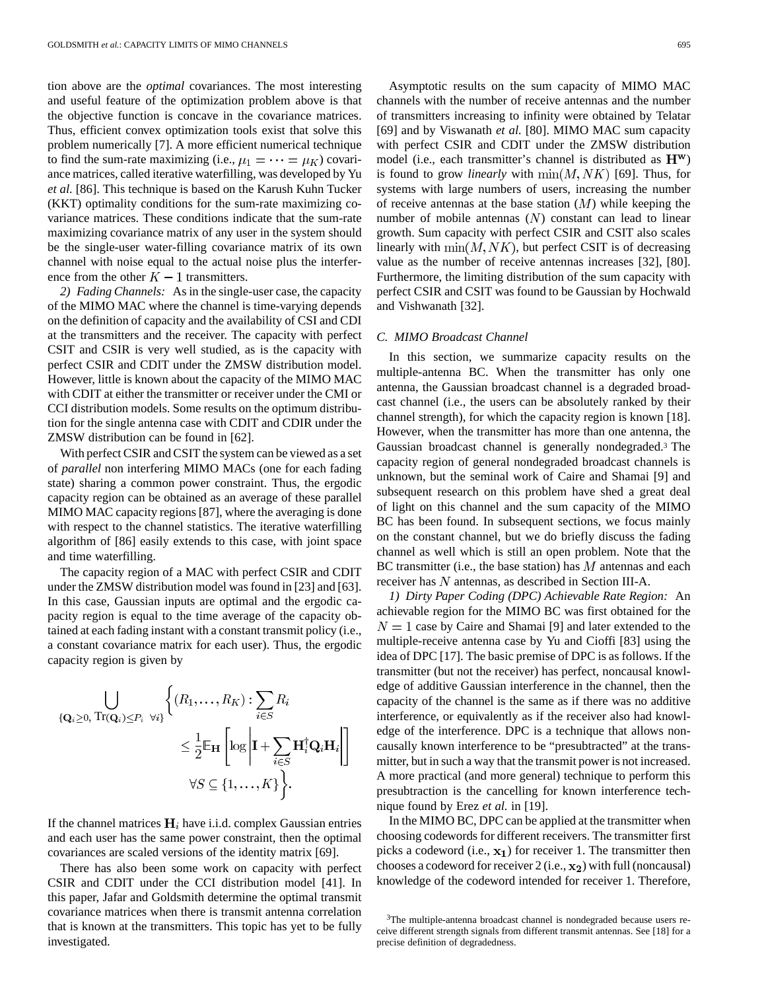tion above are the *optimal* covariances. The most interesting and useful feature of the optimization problem above is that the objective function is concave in the covariance matrices. Thus, efficient convex optimization tools exist that solve this problem numerically [7]. A more efficient numerical technique to find the sum-rate maximizing (i.e.,  $\mu_1 = \cdots = \mu_K$ ) covariance matrices, called iterative waterfilling, was developed by Yu *et al.* [86]. This technique is based on the Karush Kuhn Tucker (KKT) optimality conditions for the sum-rate maximizing covariance matrices. These conditions indicate that the sum-rate maximizing covariance matrix of any user in the system should be the single-user water-filling covariance matrix of its own channel with noise equal to the actual noise plus the interference from the other  $K-1$  transmitters.

*2) Fading Channels:* As in the single-user case, the capacity of the MIMO MAC where the channel is time-varying depends on the definition of capacity and the availability of CSI and CDI at the transmitters and the receiver. The capacity with perfect CSIT and CSIR is very well studied, as is the capacity with perfect CSIR and CDIT under the ZMSW distribution model. However, little is known about the capacity of the MIMO MAC with CDIT at either the transmitter or receiver under the CMI or CCI distribution models. Some results on the optimum distribution for the single antenna case with CDIT and CDIR under the ZMSW distribution can be found in [62].

With perfect CSIR and CSIT the system can be viewed as a set of *parallel* non interfering MIMO MACs (one for each fading state) sharing a common power constraint. Thus, the ergodic capacity region can be obtained as an average of these parallel MIMO MAC capacity regions [87], where the averaging is done with respect to the channel statistics. The iterative waterfilling algorithm of [86] easily extends to this case, with joint space and time waterfilling.

The capacity region of a MAC with perfect CSIR and CDIT under the ZMSW distribution model was found in [23] and [63]. In this case, Gaussian inputs are optimal and the ergodic capacity region is equal to the time average of the capacity obtained at each fading instant with a constant transmit policy (i.e., a constant covariance matrix for each user). Thus, the ergodic capacity region is given by

$$
\bigcup_{\{\mathbf{Q}_i \geq 0, \text{Tr}(\mathbf{Q}_i) \leq P_i \forall i\}} \left\{ (R_1, \dots, R_K) : \sum_{i \in S} R_i \right\}
$$

$$
\leq \frac{1}{2} \mathbb{E}_{\mathbf{H}} \left[ \log \left| \mathbf{I} + \sum_{i \in S} \mathbf{H}_i^\dagger \mathbf{Q}_i \mathbf{H}_i \right| \right]
$$

$$
\forall S \subseteq \{1, \dots, K\} \bigg\}.
$$

If the channel matrices  $H_i$  have i.i.d. complex Gaussian entries and each user has the same power constraint, then the optimal covariances are scaled versions of the identity matrix [69].

There has also been some work on capacity with perfect CSIR and CDIT under the CCI distribution model [41]. In this paper, Jafar and Goldsmith determine the optimal transmit covariance matrices when there is transmit antenna correlation that is known at the transmitters. This topic has yet to be fully investigated.

Asymptotic results on the sum capacity of MIMO MAC channels with the number of receive antennas and the number of transmitters increasing to infinity were obtained by Telatar [69] and by Viswanath *et al.* [80]. MIMO MAC sum capacity with perfect CSIR and CDIT under the ZMSW distribution model (i.e., each transmitter's channel is distributed as  $H^w$ ) is found to grow *linearly* with  $\min(M, NK)$  [69]. Thus, for systems with large numbers of users, increasing the number of receive antennas at the base station  $(M)$  while keeping the number of mobile antennas  $(N)$  constant can lead to linear growth. Sum capacity with perfect CSIR and CSIT also scales linearly with  $\min(M, NK)$ , but perfect CSIT is of decreasing value as the number of receive antennas increases [32], [80]. Furthermore, the limiting distribution of the sum capacity with perfect CSIR and CSIT was found to be Gaussian by Hochwald and Vishwanath [32].

# *C. MIMO Broadcast Channel*

In this section, we summarize capacity results on the multiple-antenna BC. When the transmitter has only one antenna, the Gaussian broadcast channel is a degraded broadcast channel (i.e., the users can be absolutely ranked by their channel strength), for which the capacity region is known [18]. However, when the transmitter has more than one antenna, the Gaussian broadcast channel is generally nondegraded.3 The capacity region of general nondegraded broadcast channels is unknown, but the seminal work of Caire and Shamai [9] and subsequent research on this problem have shed a great deal of light on this channel and the sum capacity of the MIMO BC has been found. In subsequent sections, we focus mainly on the constant channel, but we do briefly discuss the fading channel as well which is still an open problem. Note that the BC transmitter (i.e., the base station) has  $M$  antennas and each receiver has  $N$  antennas, as described in Section III-A.

*1) Dirty Paper Coding (DPC) Achievable Rate Region:* An achievable region for the MIMO BC was first obtained for the  $N=1$  case by Caire and Shamai [9] and later extended to the multiple-receive antenna case by Yu and Cioffi [83] using the idea of DPC [17]. The basic premise of DPC is as follows. If the transmitter (but not the receiver) has perfect, noncausal knowledge of additive Gaussian interference in the channel, then the capacity of the channel is the same as if there was no additive interference, or equivalently as if the receiver also had knowledge of the interference. DPC is a technique that allows noncausally known interference to be "presubtracted" at the transmitter, but in such a way that the transmit power is not increased. A more practical (and more general) technique to perform this presubtraction is the cancelling for known interference technique found by Erez *et al.* in [19].

In the MIMO BC, DPC can be applied at the transmitter when choosing codewords for different receivers. The transmitter first picks a codeword (i.e.,  $x_1$ ) for receiver 1. The transmitter then chooses a codeword for receiver  $2$  (i.e.,  $x_2$ ) with full (noncausal) knowledge of the codeword intended for receiver 1. Therefore,

<sup>3</sup>The multiple-antenna broadcast channel is nondegraded because users receive different strength signals from different transmit antennas. See [18] for a precise definition of degradedness.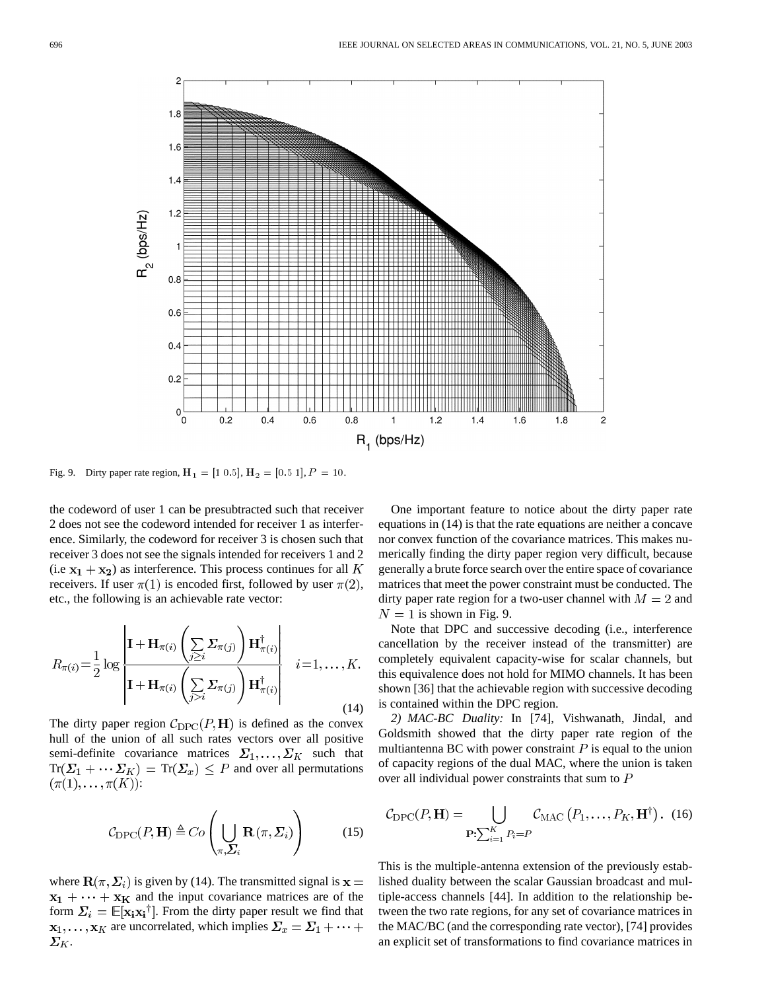

Fig. 9. Dirty paper rate region,  $H_1 = [1 \ 0.5], H_2 = [0.5 \ 1], P = 10.$ 

the codeword of user 1 can be presubtracted such that receiver 2 does not see the codeword intended for receiver 1 as interference. Similarly, the codeword for receiver 3 is chosen such that receiver 3 does not see the signals intended for receivers 1 and 2 (i.e  $x_1 + x_2$ ) as interference. This process continues for all K receivers. If user  $\pi(1)$  is encoded first, followed by user  $\pi(2)$ , etc., the following is an achievable rate vector:

$$
R_{\pi(i)} = \frac{1}{2} \log \frac{\left| \mathbf{I} + \mathbf{H}_{\pi(i)} \left( \sum_{j \geq i} \Sigma_{\pi(j)} \right) \mathbf{H}_{\pi(i)}^{\dagger} \right|}{\left| \mathbf{I} + \mathbf{H}_{\pi(i)} \left( \sum_{j > i} \Sigma_{\pi(j)} \right) \mathbf{H}_{\pi(i)}^{\dagger} \right|} \quad i = 1, \dots, K.
$$
\n(14)

The dirty paper region  $C_{\text{DPC}}(P, H)$  is defined as the convex hull of the union of all such rates vectors over all positive semi-definite covariance matrices  $\Sigma_1, \ldots, \Sigma_K$  such that  $\text{Tr}(\Sigma_1 + \cdots \Sigma_K) = \text{Tr}(\Sigma_x) \leq P$  and over all permutations  $(\pi(1), \ldots, \pi(K))$ :

$$
C_{\rm DPC}(P, \mathbf{H}) \triangleq Co\left(\bigcup_{\pi, \Sigma_i} \mathbf{R}(\pi, \Sigma_i)\right) \tag{15}
$$

where  $\mathbf{R}(\pi, \Sigma_i)$  is given by (14). The transmitted signal is  $\mathbf{x} =$  $x_1 + \cdots + x_K$  and the input covariance matrices are of the form  $\Sigma_i = \mathbb{E}[\mathbf{x}_i \mathbf{x}_i^{\dagger}]$ . From the dirty paper result we find that  $x_1, \ldots, x_K$  are uncorrelated, which implies  $\Sigma_x = \Sigma_1 + \cdots +$  $\Sigma_K$ .

One important feature to notice about the dirty paper rate equations in (14) is that the rate equations are neither a concave nor convex function of the covariance matrices. This makes numerically finding the dirty paper region very difficult, because generally a brute force search over the entire space of covariance matrices that meet the power constraint must be conducted. The dirty paper rate region for a two-user channel with  $M = 2$  and  $N = 1$  is shown in Fig. 9.

Note that DPC and successive decoding (i.e., interference cancellation by the receiver instead of the transmitter) are completely equivalent capacity-wise for scalar channels, but this equivalence does not hold for MIMO channels. It has been shown [36] that the achievable region with successive decoding is contained within the DPC region.

*2) MAC-BC Duality:* In [74], Vishwanath, Jindal, and Goldsmith showed that the dirty paper rate region of the multiantenna BC with power constraint  $P$  is equal to the union of capacity regions of the dual MAC, where the union is taken over all individual power constraints that sum to  $P$ 

$$
\mathcal{C}_{\text{DPC}}(P, \mathbf{H}) = \bigcup_{\mathbf{P}: \sum_{i=1}^{K} P_i = P} \mathcal{C}_{\text{MAC}}(P_1, \dots, P_K, \mathbf{H}^{\dagger}). \tag{16}
$$

This is the multiple-antenna extension of the previously established duality between the scalar Gaussian broadcast and multiple-access channels [44]. In addition to the relationship between the two rate regions, for any set of covariance matrices in the MAC/BC (and the corresponding rate vector), [74] provides an explicit set of transformations to find covariance matrices in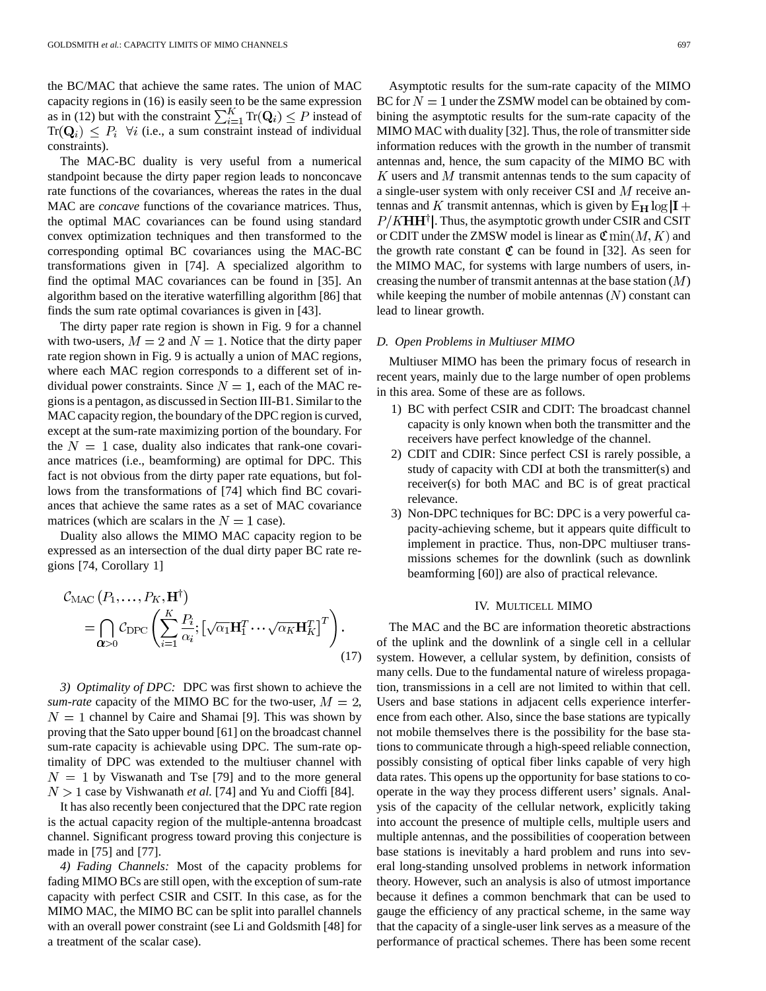the BC/MAC that achieve the same rates. The union of MAC capacity regions in (16) is easily seen to be the same expression as in (12) but with the constraint  $\sum_{i=1}^{K} \text{Tr}(\mathbf{Q}_i) \leq P$  instead of  $Tr(Q_i) \leq P_i$   $\forall i$  (i.e., a sum constraint instead of individual constraints).

The MAC-BC duality is very useful from a numerical standpoint because the dirty paper region leads to nonconcave rate functions of the covariances, whereas the rates in the dual MAC are *concave* functions of the covariance matrices. Thus, the optimal MAC covariances can be found using standard convex optimization techniques and then transformed to the corresponding optimal BC covariances using the MAC-BC transformations given in [74]. A specialized algorithm to find the optimal MAC covariances can be found in [35]. An algorithm based on the iterative waterfilling algorithm [86] that finds the sum rate optimal covariances is given in [43].

The dirty paper rate region is shown in Fig. 9 for a channel with two-users,  $M = 2$  and  $N = 1$ . Notice that the dirty paper rate region shown in Fig. 9 is actually a union of MAC regions, where each MAC region corresponds to a different set of individual power constraints. Since  $N = 1$ , each of the MAC regions is a pentagon, as discussed in Section III-B1. Similar to the MAC capacity region, the boundary of the DPC region is curved, except at the sum-rate maximizing portion of the boundary. For the  $N = 1$  case, duality also indicates that rank-one covariance matrices (i.e., beamforming) are optimal for DPC. This fact is not obvious from the dirty paper rate equations, but follows from the transformations of [74] which find BC covariances that achieve the same rates as a set of MAC covariance matrices (which are scalars in the  $N = 1$  case).

Duality also allows the MIMO MAC capacity region to be expressed as an intersection of the dual dirty paper BC rate regions [74, Corollary 1]

$$
\mathcal{C}_{\text{MAC}}\left(P_1, \ldots, P_K, \mathbf{H}^{\dagger}\right)
$$
\n
$$
= \bigcap_{\alpha > 0} \mathcal{C}_{\text{DPC}}\left(\sum_{i=1}^K \frac{P_i}{\alpha_i}; \left[\sqrt{\alpha_1} \mathbf{H}_1^T \cdots \sqrt{\alpha_K} \mathbf{H}_K^T\right]^T\right). \tag{17}
$$

*3) Optimality of DPC:* DPC was first shown to achieve the *sum-rate* capacity of the MIMO BC for the two-user,  $M = 2$ ,  $N = 1$  channel by Caire and Shamai [9]. This was shown by proving that the Sato upper bound [61] on the broadcast channel sum-rate capacity is achievable using DPC. The sum-rate optimality of DPC was extended to the multiuser channel with  $N = 1$  by Viswanath and Tse [79] and to the more general  $N > 1$  case by Vishwanath *et al.* [74] and Yu and Cioffi [84].

It has also recently been conjectured that the DPC rate region is the actual capacity region of the multiple-antenna broadcast channel. Significant progress toward proving this conjecture is made in [75] and [77].

*4) Fading Channels:* Most of the capacity problems for fading MIMO BCs are still open, with the exception of sum-rate capacity with perfect CSIR and CSIT. In this case, as for the MIMO MAC, the MIMO BC can be split into parallel channels with an overall power constraint (see Li and Goldsmith [48] for a treatment of the scalar case).

Asymptotic results for the sum-rate capacity of the MIMO BC for  $N = 1$  under the ZSMW model can be obtained by combining the asymptotic results for the sum-rate capacity of the MIMO MAC with duality [32]. Thus, the role of transmitter side information reduces with the growth in the number of transmit antennas and, hence, the sum capacity of the MIMO BC with K users and M transmit antennas tends to the sum capacity of a single-user system with only receiver CSI and  $M$  receive antennas and K transmit antennas, which is given by  $\mathbb{E}_{\mathbf{H}} \log |\mathbf{I}| +$  $P/KHH^{\dagger}$ . Thus, the asymptotic growth under CSIR and CSIT or CDIT under the ZMSW model is linear as  $\mathfrak{C}\min(M,K)$  and the growth rate constant  $\mathfrak C$  can be found in [32]. As seen for the MIMO MAC, for systems with large numbers of users, increasing the number of transmit antennas at the base station  $(M)$ while keeping the number of mobile antennas  $(N)$  constant can lead to linear growth.

#### *D. Open Problems in Multiuser MIMO*

Multiuser MIMO has been the primary focus of research in recent years, mainly due to the large number of open problems in this area. Some of these are as follows.

- 1) BC with perfect CSIR and CDIT: The broadcast channel capacity is only known when both the transmitter and the receivers have perfect knowledge of the channel.
- 2) CDIT and CDIR: Since perfect CSI is rarely possible, a study of capacity with CDI at both the transmitter(s) and receiver(s) for both MAC and BC is of great practical relevance.
- 3) Non-DPC techniques for BC: DPC is a very powerful capacity-achieving scheme, but it appears quite difficult to implement in practice. Thus, non-DPC multiuser transmissions schemes for the downlink (such as downlink beamforming [60]) are also of practical relevance.

# IV. MULTICELL MIMO

The MAC and the BC are information theoretic abstractions of the uplink and the downlink of a single cell in a cellular system. However, a cellular system, by definition, consists of many cells. Due to the fundamental nature of wireless propagation, transmissions in a cell are not limited to within that cell. Users and base stations in adjacent cells experience interference from each other. Also, since the base stations are typically not mobile themselves there is the possibility for the base stations to communicate through a high-speed reliable connection, possibly consisting of optical fiber links capable of very high data rates. This opens up the opportunity for base stations to cooperate in the way they process different users' signals. Analysis of the capacity of the cellular network, explicitly taking into account the presence of multiple cells, multiple users and multiple antennas, and the possibilities of cooperation between base stations is inevitably a hard problem and runs into several long-standing unsolved problems in network information theory. However, such an analysis is also of utmost importance because it defines a common benchmark that can be used to gauge the efficiency of any practical scheme, in the same way that the capacity of a single-user link serves as a measure of the performance of practical schemes. There has been some recent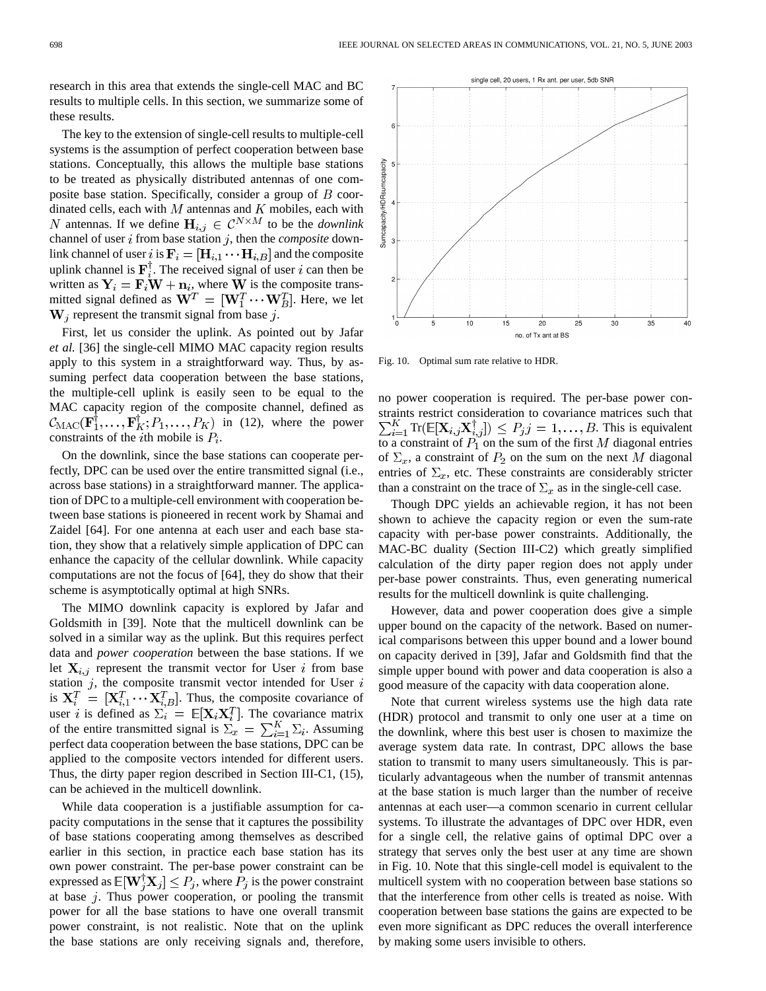research in this area that extends the single-cell MAC and BC results to multiple cells. In this section, we summarize some of these results.

The key to the extension of single-cell results to multiple-cell systems is the assumption of perfect cooperation between base stations. Conceptually, this allows the multiple base stations to be treated as physically distributed antennas of one composite base station. Specifically, consider a group of  $B$  coordinated cells, each with  $M$  antennas and  $K$  mobiles, each with N antennas. If we define  $H_{i,j} \in C^{N \times M}$  to be the *downlink* channel of user  $i$  from base station  $j$ , then the *composite* downlink channel of user i is  $\mathbf{F}_i = [\mathbf{H}_{i,1} \cdots \mathbf{H}_{i,B}]$  and the composite uplink channel is  $\mathbf{F}_i^{\dagger}$ . The received signal of user i can then be written as  $Y_i = F_i W + n_i$ , where W is the composite transmitted signal defined as  $\mathbf{W}^T = [\mathbf{W}_1^T \cdots \mathbf{W}_B^T]$ . Here, we let  $W_i$  represent the transmit signal from base j.

First, let us consider the uplink. As pointed out by Jafar *et al.* [36] the single-cell MIMO MAC capacity region results apply to this system in a straightforward way. Thus, by assuming perfect data cooperation between the base stations, the multiple-cell uplink is easily seen to be equal to the MAC capacity region of the composite channel, defined as in (12), where the power constraints of the *i*th mobile is  $P_i$ .

On the downlink, since the base stations can cooperate perfectly, DPC can be used over the entire transmitted signal (i.e., across base stations) in a straightforward manner. The application of DPC to a multiple-cell environment with cooperation between base stations is pioneered in recent work by Shamai and Zaidel [64]. For one antenna at each user and each base station, they show that a relatively simple application of DPC can enhance the capacity of the cellular downlink. While capacity computations are not the focus of [64], they do show that their scheme is asymptotically optimal at high SNRs.

The MIMO downlink capacity is explored by Jafar and Goldsmith in [39]. Note that the multicell downlink can be solved in a similar way as the uplink. But this requires perfect data and *power cooperation* between the base stations. If we let  $X_{i,j}$  represent the transmit vector for User i from base station  $j$ , the composite transmit vector intended for User  $i$ is  $X_i^T = [X_{i,1}^T \cdots X_{i,B}^T]$ . Thus, the composite covariance of user i is defined as  $\Sigma_i = \mathbb{E}[X_i X_i^T]$ . The covariance matrix of the entire transmitted signal is  $\Sigma_x = \sum_{i=1}^K \Sigma_i$ . Assuming perfect data cooperation between the base stations, DPC can be applied to the composite vectors intended for different users. Thus, the dirty paper region described in Section III-C1, (15), can be achieved in the multicell downlink.

While data cooperation is a justifiable assumption for capacity computations in the sense that it captures the possibility of base stations cooperating among themselves as described earlier in this section, in practice each base station has its own power constraint. The per-base power constraint can be expressed as  $\mathbb{E}[\mathbf{W}_i^{\dagger} \mathbf{X}_j] \leq P_j$ , where  $P_j$  is the power constraint at base  $j$ . Thus power cooperation, or pooling the transmit power for all the base stations to have one overall transmit power constraint, is not realistic. Note that on the uplink the base stations are only receiving signals and, therefore,



Fig. 10. Optimal sum rate relative to HDR.

no power cooperation is required. The per-base power constraints restrict consideration to covariance matrices such that  $\text{Tr}(\mathbb{E}[\mathbf{X}_{i,j}\mathbf{X}_{i,j}^{\top}]) \leq P_j j = 1,\ldots,B.$  This is equivalent to a constraint of  $P_1$  on the sum of the first M diagonal entries of  $\Sigma_x$ , a constraint of  $P_2$  on the sum on the next M diagonal entries of  $\Sigma_x$ , etc. These constraints are considerably stricter than a constraint on the trace of  $\Sigma_x$  as in the single-cell case.

Though DPC yields an achievable region, it has not been shown to achieve the capacity region or even the sum-rate capacity with per-base power constraints. Additionally, the MAC-BC duality (Section III-C2) which greatly simplified calculation of the dirty paper region does not apply under per-base power constraints. Thus, even generating numerical results for the multicell downlink is quite challenging.

However, data and power cooperation does give a simple upper bound on the capacity of the network. Based on numerical comparisons between this upper bound and a lower bound on capacity derived in [39], Jafar and Goldsmith find that the simple upper bound with power and data cooperation is also a good measure of the capacity with data cooperation alone.

Note that current wireless systems use the high data rate (HDR) protocol and transmit to only one user at a time on the downlink, where this best user is chosen to maximize the average system data rate. In contrast, DPC allows the base station to transmit to many users simultaneously. This is particularly advantageous when the number of transmit antennas at the base station is much larger than the number of receive antennas at each user—a common scenario in current cellular systems. To illustrate the advantages of DPC over HDR, even for a single cell, the relative gains of optimal DPC over a strategy that serves only the best user at any time are shown in Fig. 10. Note that this single-cell model is equivalent to the multicell system with no cooperation between base stations so that the interference from other cells is treated as noise. With cooperation between base stations the gains are expected to be even more significant as DPC reduces the overall interference by making some users invisible to others.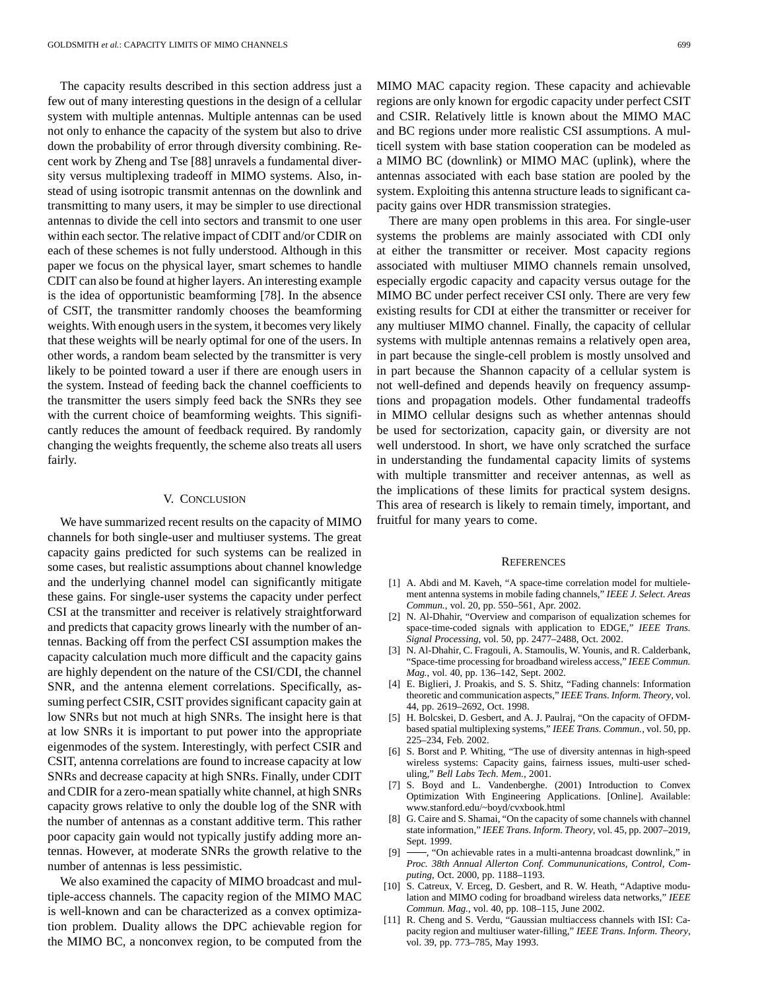The capacity results described in this section address just a few out of many interesting questions in the design of a cellular system with multiple antennas. Multiple antennas can be used not only to enhance the capacity of the system but also to drive down the probability of error through diversity combining. Recent work by Zheng and Tse [88] unravels a fundamental diversity versus multiplexing tradeoff in MIMO systems. Also, instead of using isotropic transmit antennas on the downlink and transmitting to many users, it may be simpler to use directional antennas to divide the cell into sectors and transmit to one user within each sector. The relative impact of CDIT and/or CDIR on each of these schemes is not fully understood. Although in this paper we focus on the physical layer, smart schemes to handle CDIT can also be found at higher layers. An interesting example is the idea of opportunistic beamforming [78]. In the absence of CSIT, the transmitter randomly chooses the beamforming weights. With enough users in the system, it becomes very likely that these weights will be nearly optimal for one of the users. In other words, a random beam selected by the transmitter is very likely to be pointed toward a user if there are enough users in the system. Instead of feeding back the channel coefficients to the transmitter the users simply feed back the SNRs they see with the current choice of beamforming weights. This significantly reduces the amount of feedback required. By randomly changing the weights frequently, the scheme also treats all users fairly.

#### V. CONCLUSION

We have summarized recent results on the capacity of MIMO channels for both single-user and multiuser systems. The great capacity gains predicted for such systems can be realized in some cases, but realistic assumptions about channel knowledge and the underlying channel model can significantly mitigate these gains. For single-user systems the capacity under perfect CSI at the transmitter and receiver is relatively straightforward and predicts that capacity grows linearly with the number of antennas. Backing off from the perfect CSI assumption makes the capacity calculation much more difficult and the capacity gains are highly dependent on the nature of the CSI/CDI, the channel SNR, and the antenna element correlations. Specifically, assuming perfect CSIR, CSIT provides significant capacity gain at low SNRs but not much at high SNRs. The insight here is that at low SNRs it is important to put power into the appropriate eigenmodes of the system. Interestingly, with perfect CSIR and CSIT, antenna correlations are found to increase capacity at low SNRs and decrease capacity at high SNRs. Finally, under CDIT and CDIR for a zero-mean spatially white channel, at high SNRs capacity grows relative to only the double log of the SNR with the number of antennas as a constant additive term. This rather poor capacity gain would not typically justify adding more antennas. However, at moderate SNRs the growth relative to the number of antennas is less pessimistic.

We also examined the capacity of MIMO broadcast and multiple-access channels. The capacity region of the MIMO MAC is well-known and can be characterized as a convex optimization problem. Duality allows the DPC achievable region for the MIMO BC, a nonconvex region, to be computed from the MIMO MAC capacity region. These capacity and achievable regions are only known for ergodic capacity under perfect CSIT and CSIR. Relatively little is known about the MIMO MAC and BC regions under more realistic CSI assumptions. A multicell system with base station cooperation can be modeled as a MIMO BC (downlink) or MIMO MAC (uplink), where the antennas associated with each base station are pooled by the system. Exploiting this antenna structure leads to significant capacity gains over HDR transmission strategies.

There are many open problems in this area. For single-user systems the problems are mainly associated with CDI only at either the transmitter or receiver. Most capacity regions associated with multiuser MIMO channels remain unsolved, especially ergodic capacity and capacity versus outage for the MIMO BC under perfect receiver CSI only. There are very few existing results for CDI at either the transmitter or receiver for any multiuser MIMO channel. Finally, the capacity of cellular systems with multiple antennas remains a relatively open area, in part because the single-cell problem is mostly unsolved and in part because the Shannon capacity of a cellular system is not well-defined and depends heavily on frequency assumptions and propagation models. Other fundamental tradeoffs in MIMO cellular designs such as whether antennas should be used for sectorization, capacity gain, or diversity are not well understood. In short, we have only scratched the surface in understanding the fundamental capacity limits of systems with multiple transmitter and receiver antennas, as well as the implications of these limits for practical system designs. This area of research is likely to remain timely, important, and fruitful for many years to come.

#### **REFERENCES**

- [1] A. Abdi and M. Kaveh, "A space-time correlation model for multielement antenna systems in mobile fading channels," *IEEE J. Select. Areas Commun.*, vol. 20, pp. 550–561, Apr. 2002.
- [2] N. Al-Dhahir, "Overview and comparison of equalization schemes for space-time-coded signals with application to EDGE," *IEEE Trans. Signal Processing*, vol. 50, pp. 2477–2488, Oct. 2002.
- [3] N. Al-Dhahir, C. Fragouli, A. Stamoulis, W. Younis, and R. Calderbank, "Space-time processing for broadband wireless access," *IEEE Commun. Mag.*, vol. 40, pp. 136–142, Sept. 2002.
- [4] E. Biglieri, J. Proakis, and S. S. Shitz, "Fading channels: Information theoretic and communication aspects," *IEEE Trans. Inform. Theory*, vol. 44, pp. 2619–2692, Oct. 1998.
- [5] H. Bolcskei, D. Gesbert, and A. J. Paulraj, "On the capacity of OFDMbased spatial multiplexing systems," *IEEE Trans. Commun.*, vol. 50, pp. 225–234, Feb. 2002.
- [6] S. Borst and P. Whiting, "The use of diversity antennas in high-speed wireless systems: Capacity gains, fairness issues, multi-user scheduling," *Bell Labs Tech. Mem.*, 2001.
- [7] S. Boyd and L. Vandenberghe. (2001) Introduction to Convex Optimization With Engineering Applications. [Online]. Available: www.stanford.edu/~boyd/cvxbook.html
- [8] G. Caire and S. Shamai, "On the capacity of some channels with channel state information," *IEEE Trans. Inform. Theory*, vol. 45, pp. 2007–2019, Sept. 1999.
- [9]  $\frac{1}{2}$ , "On achievable rates in a multi-antenna broadcast downlink," in *Proc. 38th Annual Allerton Conf. Commununications, Control, Computing*, Oct. 2000, pp. 1188–1193.
- [10] S. Catreux, V. Erceg, D. Gesbert, and R. W. Heath, "Adaptive modulation and MIMO coding for broadband wireless data networks," *IEEE Commun. Mag.*, vol. 40, pp. 108–115, June 2002.
- [11] R. Cheng and S. Verdu, "Gaussian multiaccess channels with ISI: Capacity region and multiuser water-filling," *IEEE Trans. Inform. Theory*, vol. 39, pp. 773–785, May 1993.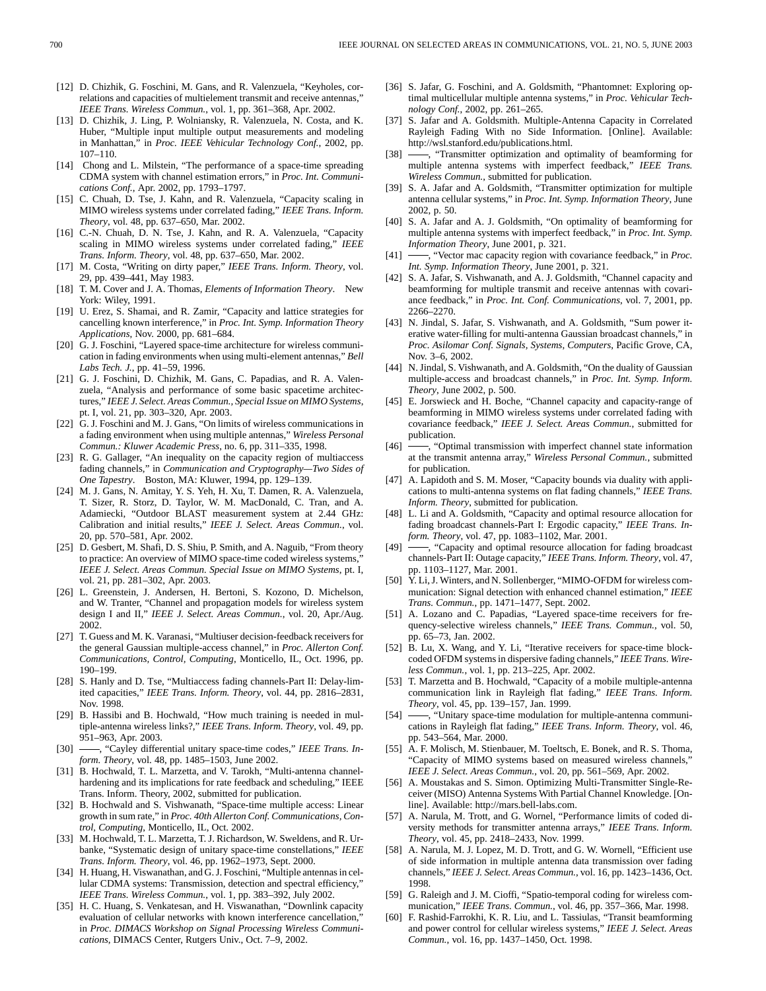- [12] D. Chizhik, G. Foschini, M. Gans, and R. Valenzuela, "Keyholes, correlations and capacities of multielement transmit and receive antennas," *IEEE Trans. Wireless Commun.*, vol. 1, pp. 361–368, Apr. 2002.
- [13] D. Chizhik, J. Ling, P. Wolniansky, R. Valenzuela, N. Costa, and K. Huber, "Multiple input multiple output measurements and modeling in Manhattan," in *Proc. IEEE Vehicular Technology Conf.*, 2002, pp. 107–110.
- [14] Chong and L. Milstein, "The performance of a space-time spreading CDMA system with channel estimation errors," in *Proc. Int. Communications Conf.*, Apr. 2002, pp. 1793–1797.
- [15] C. Chuah, D. Tse, J. Kahn, and R. Valenzuela, "Capacity scaling in MIMO wireless systems under correlated fading," *IEEE Trans. Inform. Theory*, vol. 48, pp. 637–650, Mar. 2002.
- [16] C.-N. Chuah, D. N. Tse, J. Kahn, and R. A. Valenzuela, "Capacity scaling in MIMO wireless systems under correlated fading," *IEEE Trans. Inform. Theory*, vol. 48, pp. 637–650, Mar. 2002.
- [17] M. Costa, "Writing on dirty paper," *IEEE Trans. Inform. Theory*, vol. 29, pp. 439–441, May 1983.
- [18] T. M. Cover and J. A. Thomas, *Elements of Information Theory*. New York: Wiley, 1991.
- [19] U. Erez, S. Shamai, and R. Zamir, "Capacity and lattice strategies for cancelling known interference," in *Proc. Int. Symp. Information Theory Applications*, Nov. 2000, pp. 681–684.
- [20] G. J. Foschini, "Layered space-time architecture for wireless communication in fading environments when using multi-element antennas," *Bell Labs Tech. J.*, pp. 41–59, 1996.
- [21] G. J. Foschini, D. Chizhik, M. Gans, C. Papadias, and R. A. Valenzuela, "Analysis and performance of some basic spacetime architectures," *IEEE J. Select. Areas Commun., Special Issue on MIMO Systems*, pt. I, vol. 21, pp. 303–320, Apr. 2003.
- [22] G. J. Foschini and M. J. Gans, "On limits of wireless communications in a fading environment when using multiple antennas," *Wireless Personal Commun.: Kluwer Academic Press*, no. 6, pp. 311–335, 1998.
- [23] R. G. Gallager, "An inequality on the capacity region of multiaccess fading channels," in *Communication and Cryptography—Two Sides of One Tapestry*. Boston, MA: Kluwer, 1994, pp. 129–139.
- [24] M. J. Gans, N. Amitay, Y. S. Yeh, H. Xu, T. Damen, R. A. Valenzuela, T. Sizer, R. Storz, D. Taylor, W. M. MacDonald, C. Tran, and A. Adamiecki, "Outdoor BLAST measurement system at 2.44 GHz: Calibration and initial results," *IEEE J. Select. Areas Commun.*, vol. 20, pp. 570–581, Apr. 2002.
- [25] D. Gesbert, M. Shafi, D. S. Shiu, P. Smith, and A. Naguib, "From theory to practice: An overview of MIMO space-time coded wireless systems, *IEEE J. Select. Areas Commun. Special Issue on MIMO Systems*, pt. I, vol. 21, pp. 281–302, Apr. 2003.
- [26] L. Greenstein, J. Andersen, H. Bertoni, S. Kozono, D. Michelson, and W. Tranter, "Channel and propagation models for wireless system design I and II," *IEEE J. Select. Areas Commun.*, vol. 20, Apr./Aug. 2002.
- [27] T. Guess and M. K. Varanasi, "Multiuser decision-feedback receivers for the general Gaussian multiple-access channel," in *Proc. Allerton Conf. Communications, Control, Computing*, Monticello, IL, Oct. 1996, pp. 190–199.
- [28] S. Hanly and D. Tse, "Multiaccess fading channels-Part II: Delay-limited capacities," *IEEE Trans. Inform. Theory*, vol. 44, pp. 2816–2831, Nov. 1998.
- [29] B. Hassibi and B. Hochwald, "How much training is needed in multiple-antenna wireless links?," *IEEE Trans. Inform. Theory*, vol. 49, pp. 951–963, Apr. 2003.
- -, "Cayley differential unitary space-time codes," IEEE Trans. In*form. Theory*, vol. 48, pp. 1485–1503, June 2002.
- [31] B. Hochwald, T. L. Marzetta, and V. Tarokh, "Multi-antenna channelhardening and its implications for rate feedback and scheduling," IEEE Trans. Inform. Theory, 2002, submitted for publication.
- [32] B. Hochwald and S. Vishwanath, "Space-time multiple access: Linear growth in sum rate," in *Proc. 40th Allerton Conf. Communications, Control, Computing*, Monticello, IL, Oct. 2002.
- [33] M. Hochwald, T. L. Marzetta, T. J. Richardson, W. Sweldens, and R. Urbanke, "Systematic design of unitary space-time constellations," *IEEE Trans. Inform. Theory*, vol. 46, pp. 1962–1973, Sept. 2000.
- [34] H. Huang, H. Viswanathan, and G. J. Foschini, "Multiple antennas in cellular CDMA systems: Transmission, detection and spectral efficiency," *IEEE Trans. Wireless Commun.*, vol. 1, pp. 383–392, July 2002.
- [35] H. C. Huang, S. Venkatesan, and H. Viswanathan, "Downlink capacity evaluation of cellular networks with known interference cancellation," in *Proc. DIMACS Workshop on Signal Processing Wireless Communications*, DIMACS Center, Rutgers Univ., Oct. 7–9, 2002.
- [36] S. Jafar, G. Foschini, and A. Goldsmith, "Phantomnet: Exploring optimal multicellular multiple antenna systems," in *Proc. Vehicular Technology Conf.*, 2002, pp. 261–265.
- [37] S. Jafar and A. Goldsmith. Multiple-Antenna Capacity in Correlated Rayleigh Fading With no Side Information. [Online]. Available: http://wsl.stanford.edu/publications.html.
- -, "Transmitter optimization and optimality of beamforming for multiple antenna systems with imperfect feedback," *IEEE Trans. Wireless Commun.*, submitted for publication.
- [39] S. A. Jafar and A. Goldsmith, "Transmitter optimization for multiple antenna cellular systems," in *Proc. Int. Symp. Information Theory*, June 2002, p. 50.
- [40] S. A. Jafar and A. J. Goldsmith, "On optimality of beamforming for multiple antenna systems with imperfect feedback," in *Proc. Int. Symp. Information Theory*, June 2001, p. 321.
- [41] —, "Vector mac capacity region with covariance feedback," in *Proc. Int. Symp. Information Theory*, June 2001, p. 321.
- [42] S. A. Jafar, S. Vishwanath, and A. J. Goldsmith, "Channel capacity and beamforming for multiple transmit and receive antennas with covariance feedback," in *Proc. Int. Conf. Communications*, vol. 7, 2001, pp. 2266–2270.
- [43] N. Jindal, S. Jafar, S. Vishwanath, and A. Goldsmith, "Sum power iterative water-filling for multi-antenna Gaussian broadcast channels," in *Proc. Asilomar Conf. Signals, Systems, Computers*, Pacific Grove, CA, Nov. 3–6, 2002.
- [44] N. Jindal, S. Vishwanath, and A. Goldsmith, "On the duality of Gaussian multiple-access and broadcast channels," in *Proc. Int. Symp. Inform. Theory*, June 2002, p. 500.
- [45] E. Jorswieck and H. Boche, "Channel capacity and capacity-range of beamforming in MIMO wireless systems under correlated fading with covariance feedback," *IEEE J. Select. Areas Commun.*, submitted for publication.
- [46]  $\frac{1}{2}$ , "Optimal transmission with imperfect channel state information at the transmit antenna array," *Wireless Personal Commun.*, submitted for publication.
- [47] A. Lapidoth and S. M. Moser, "Capacity bounds via duality with applications to multi-antenna systems on flat fading channels," *IEEE Trans. Inform. Theory*, submitted for publication.
- [48] L. Li and A. Goldsmith, "Capacity and optimal resource allocation for fading broadcast channels-Part I: Ergodic capacity," *IEEE Trans. Inform. Theory*, vol. 47, pp. 1083–1102, Mar. 2001.
- [49] -, "Capacity and optimal resource allocation for fading broadcast channels-Part II: Outage capacity," *IEEE Trans. Inform. Theory*, vol. 47, pp. 1103–1127, Mar. 2001.
- [50] Y. Li, J. Winters, and N. Sollenberger, "MIMO-OFDM for wireless communication: Signal detection with enhanced channel estimation," *IEEE Trans. Commun.*, pp. 1471–1477, Sept. 2002.
- [51] A. Lozano and C. Papadias, "Layered space-time receivers for frequency-selective wireless channels," *IEEE Trans. Commun.*, vol. 50, pp. 65–73, Jan. 2002.
- [52] B. Lu, X. Wang, and Y. Li, "Iterative receivers for space-time blockcoded OFDM systems in dispersive fading channels," *IEEE Trans. Wireless Commun.*, vol. 1, pp. 213–225, Apr. 2002.
- [53] T. Marzetta and B. Hochwald, "Capacity of a mobile multiple-antenna communication link in Rayleigh flat fading," *IEEE Trans. Inform. Theory*, vol. 45, pp. 139–157, Jan. 1999.
- [54]  $\frac{1}{2}$ , "Unitary space-time modulation for multiple-antenna communications in Rayleigh flat fading," *IEEE Trans. Inform. Theory*, vol. 46, pp. 543–564, Mar. 2000.
- [55] A. F. Molisch, M. Stienbauer, M. Toeltsch, E. Bonek, and R. S. Thoma, "Capacity of MIMO systems based on measured wireless channels," *IEEE J. Select. Areas Commun.*, vol. 20, pp. 561–569, Apr. 2002.
- [56] A. Moustakas and S. Simon. Optimizing Multi-Transmitter Single-Receiver (MISO) Antenna Systems With Partial Channel Knowledge. [Online]. Available: http://mars.bell-labs.com.
- [57] A. Narula, M. Trott, and G. Wornel, "Performance limits of coded diversity methods for transmitter antenna arrays," *IEEE Trans. Inform. Theory*, vol. 45, pp. 2418–2433, Nov. 1999.
- [58] A. Narula, M. J. Lopez, M. D. Trott, and G. W. Wornell, "Efficient use of side information in multiple antenna data transmission over fading channels," *IEEE J. Select. Areas Commun.*, vol. 16, pp. 1423–1436, Oct. 1998.
- [59] G. Raleigh and J. M. Cioffi, "Spatio-temporal coding for wireless communication," *IEEE Trans. Commun.*, vol. 46, pp. 357–366, Mar. 1998.
- [60] F. Rashid-Farrokhi, K. R. Liu, and L. Tassiulas, "Transit beamforming and power control for cellular wireless systems," *IEEE J. Select. Areas Commun.*, vol. 16, pp. 1437–1450, Oct. 1998.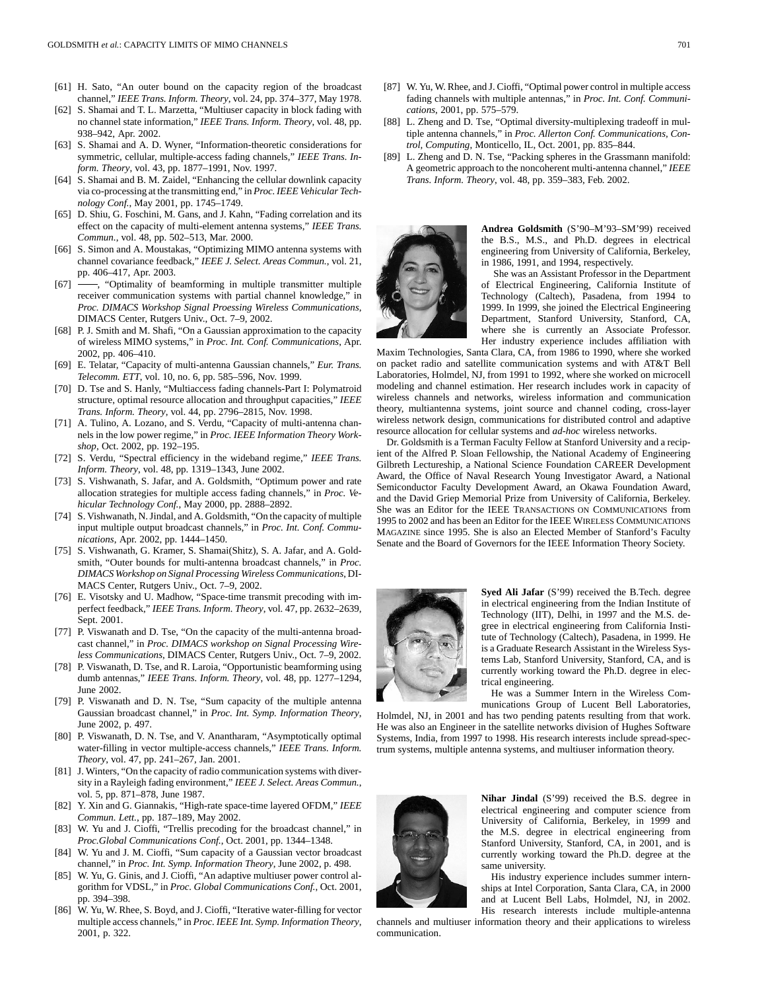- [61] H. Sato, "An outer bound on the capacity region of the broadcast channel," *IEEE Trans. Inform. Theory*, vol. 24, pp. 374–377, May 1978.
- [62] S. Shamai and T. L. Marzetta, "Multiuser capacity in block fading with no channel state information," *IEEE Trans. Inform. Theory*, vol. 48, pp. 938–942, Apr. 2002.
- [63] S. Shamai and A. D. Wyner, "Information-theoretic considerations for symmetric, cellular, multiple-access fading channels," *IEEE Trans. Inform. Theory*, vol. 43, pp. 1877–1991, Nov. 1997.
- [64] S. Shamai and B. M. Zaidel, "Enhancing the cellular downlink capacity via co-processing at the transmitting end," in *Proc. IEEE Vehicular Technology Conf.*, May 2001, pp. 1745–1749.
- [65] D. Shiu, G. Foschini, M. Gans, and J. Kahn, "Fading correlation and its effect on the capacity of multi-element antenna systems," *IEEE Trans. Commun.*, vol. 48, pp. 502–513, Mar. 2000.
- [66] S. Simon and A. Moustakas, "Optimizing MIMO antenna systems with channel covariance feedback," *IEEE J. Select. Areas Commun.*, vol. 21, pp. 406–417, Apr. 2003.
- [67] -, "Optimality of beamforming in multiple transmitter multiple receiver communication systems with partial channel knowledge," in *Proc. DIMACS Workshop Signal Proessing Wireless Communications*, DIMACS Center, Rutgers Univ., Oct. 7–9, 2002.
- [68] P. J. Smith and M. Shafi, "On a Gaussian approximation to the capacity of wireless MIMO systems," in *Proc. Int. Conf. Communications*, Apr. 2002, pp. 406–410.
- [69] E. Telatar, "Capacity of multi-antenna Gaussian channels," *Eur. Trans. Telecomm. ETT*, vol. 10, no. 6, pp. 585–596, Nov. 1999.
- [70] D. Tse and S. Hanly, "Multiaccess fading channels-Part I: Polymatroid structure, optimal resource allocation and throughput capacities," *IEEE Trans. Inform. Theory*, vol. 44, pp. 2796–2815, Nov. 1998.
- [71] A. Tulino, A. Lozano, and S. Verdu, "Capacity of multi-antenna channels in the low power regime," in *Proc. IEEE Information Theory Workshop*, Oct. 2002, pp. 192–195.
- [72] S. Verdu, "Spectral efficiency in the wideband regime," *IEEE Trans. Inform. Theory*, vol. 48, pp. 1319–1343, June 2002.
- [73] S. Vishwanath, S. Jafar, and A. Goldsmith, "Optimum power and rate allocation strategies for multiple access fading channels," in *Proc. Vehicular Technology Conf.*, May 2000, pp. 2888–2892.
- [74] S. Vishwanath, N. Jindal, and A. Goldsmith, "On the capacity of multiple input multiple output broadcast channels," in *Proc. Int. Conf. Communications*, Apr. 2002, pp. 1444–1450.
- [75] S. Vishwanath, G. Kramer, S. Shamai(Shitz), S. A. Jafar, and A. Goldsmith, "Outer bounds for multi-antenna broadcast channels," in *Proc. DIMACS Workshop on Signal Processing Wireless Communications*, DI-MACS Center, Rutgers Univ., Oct. 7–9, 2002.
- [76] E. Visotsky and U. Madhow, "Space-time transmit precoding with imperfect feedback," *IEEE Trans. Inform. Theory*, vol. 47, pp. 2632–2639, Sept. 2001.
- [77] P. Viswanath and D. Tse, "On the capacity of the multi-antenna broadcast channel," in *Proc. DIMACS workshop on Signal Processing Wireless Communications*, DIMACS Center, Rutgers Univ., Oct. 7–9, 2002.
- [78] P. Viswanath, D. Tse, and R. Laroia, "Opportunistic beamforming using dumb antennas," *IEEE Trans. Inform. Theory*, vol. 48, pp. 1277–1294, June 2002.
- [79] P. Viswanath and D. N. Tse, "Sum capacity of the multiple antenna Gaussian broadcast channel," in *Proc. Int. Symp. Information Theory*, June 2002, p. 497.
- [80] P. Viswanath, D. N. Tse, and V. Anantharam, "Asymptotically optimal water-filling in vector multiple-access channels," *IEEE Trans. Inform. Theory*, vol. 47, pp. 241–267, Jan. 2001.
- [81] J. Winters, "On the capacity of radio communication systems with diversity in a Rayleigh fading environment," *IEEE J. Select. Areas Commun.*, vol. 5, pp. 871–878, June 1987.
- [82] Y. Xin and G. Giannakis, "High-rate space-time layered OFDM," *IEEE Commun. Lett.*, pp. 187–189, May 2002.
- [83] W. Yu and J. Cioffi, "Trellis precoding for the broadcast channel," in *Proc.Global Communications Conf.*, Oct. 2001, pp. 1344–1348.
- [84] W. Yu and J. M. Cioffi, "Sum capacity of a Gaussian vector broadcast channel," in *Proc. Int. Symp. Information Theory*, June 2002, p. 498.
- [85] W. Yu, G. Ginis, and J. Cioffi, "An adaptive multiuser power control algorithm for VDSL," in *Proc. Global Communications Conf.*, Oct. 2001, pp. 394–398.
- [86] W. Yu, W. Rhee, S. Boyd, and J. Cioffi, "Iterative water-filling for vector multiple access channels," in *Proc. IEEE Int. Symp. Information Theory*, 2001, p. 322.
- [87] W. Yu, W. Rhee, and J. Cioffi, "Optimal power control in multiple access" fading channels with multiple antennas," in *Proc. Int. Conf. Communications*, 2001, pp. 575–579.
- [88] L. Zheng and D. Tse, "Optimal diversity-multiplexing tradeoff in multiple antenna channels," in *Proc. Allerton Conf. Communications, Control, Computing*, Monticello, IL, Oct. 2001, pp. 835–844.
- [89] L. Zheng and D. N. Tse, "Packing spheres in the Grassmann manifold: A geometric approach to the noncoherent multi-antenna channel," *IEEE Trans. Inform. Theory*, vol. 48, pp. 359–383, Feb. 2002.



**Andrea Goldsmith** (S'90–M'93–SM'99) received the B.S., M.S., and Ph.D. degrees in electrical engineering from University of California, Berkeley, in 1986, 1991, and 1994, respectively.

She was an Assistant Professor in the Department of Electrical Engineering, California Institute of Technology (Caltech), Pasadena, from 1994 to 1999. In 1999, she joined the Electrical Engineering Department, Stanford University, Stanford, CA, where she is currently an Associate Professor. Her industry experience includes affiliation with

Maxim Technologies, Santa Clara, CA, from 1986 to 1990, where she worked on packet radio and satellite communication systems and with AT&T Bell Laboratories, Holmdel, NJ, from 1991 to 1992, where she worked on microcell modeling and channel estimation. Her research includes work in capacity of wireless channels and networks, wireless information and communication theory, multiantenna systems, joint source and channel coding, cross-layer wireless network design, communications for distributed control and adaptive resource allocation for cellular systems and *ad-hoc* wireless networks.

Dr. Goldsmith is a Terman Faculty Fellow at Stanford University and a recipient of the Alfred P. Sloan Fellowship, the National Academy of Engineering Gilbreth Lectureship, a National Science Foundation CAREER Development Award, the Office of Naval Research Young Investigator Award, a National Semiconductor Faculty Development Award, an Okawa Foundation Award, and the David Griep Memorial Prize from University of California, Berkeley. She was an Editor for the IEEE TRANSACTIONS ON COMMUNICATIONS from 1995 to 2002 and has been an Editor for the IEEE WIRELESS COMMUNICATIONS MAGAZINE since 1995. She is also an Elected Member of Stanford's Faculty Senate and the Board of Governors for the IEEE Information Theory Society.



**Syed Ali Jafar** (S'99) received the B.Tech. degree in electrical engineering from the Indian Institute of Technology (IIT), Delhi, in 1997 and the M.S. degree in electrical engineering from California Institute of Technology (Caltech), Pasadena, in 1999. He is a Graduate Research Assistant in the Wireless Systems Lab, Stanford University, Stanford, CA, and is currently working toward the Ph.D. degree in electrical engineering.

He was a Summer Intern in the Wireless Communications Group of Lucent Bell Laboratories,

Holmdel, NJ, in 2001 and has two pending patents resulting from that work. He was also an Engineer in the satellite networks division of Hughes Software Systems, India, from 1997 to 1998. His research interests include spread-spectrum systems, multiple antenna systems, and multiuser information theory.



**Nihar Jindal** (S'99) received the B.S. degree in electrical engineering and computer science from University of California, Berkeley, in 1999 and the M.S. degree in electrical engineering from Stanford University, Stanford, CA, in 2001, and is currently working toward the Ph.D. degree at the same university.

His industry experience includes summer internships at Intel Corporation, Santa Clara, CA, in 2000 and at Lucent Bell Labs, Holmdel, NJ, in 2002. His research interests include multiple-antenna

channels and multiuser information theory and their applications to wireless communication.